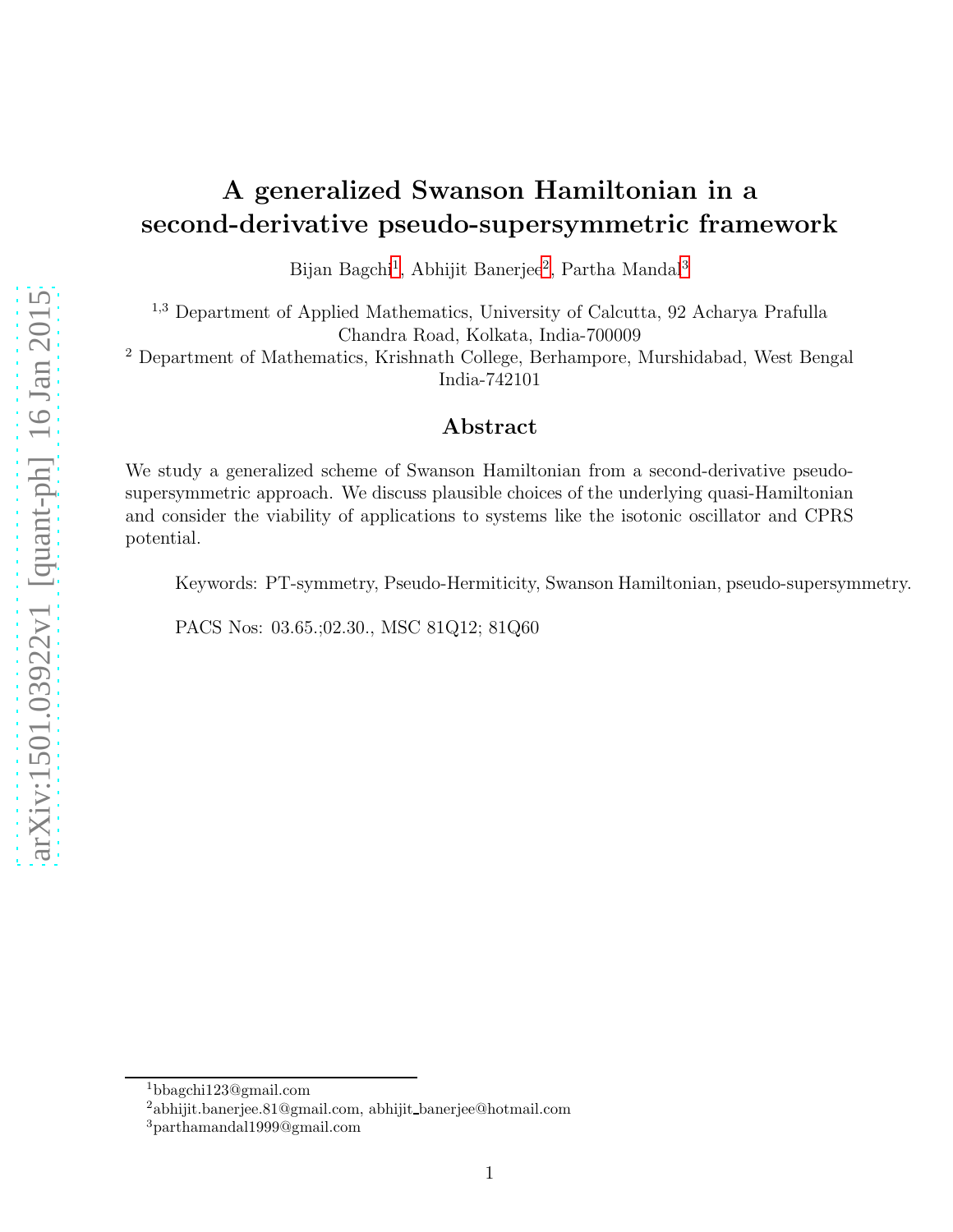# A generalized Swanson Hamiltonian in a second-derivative pseudo-supersymmetric framework

Bijan Bagchi<sup>[1](#page-0-0)</sup>, Abhijit Banerjee<sup>[2](#page-0-1)</sup>, Partha Mandal<sup>[3](#page-0-2)</sup>

<sup>1</sup>,<sup>3</sup> Department of Applied Mathematics, University of Calcutta, 92 Acharya Prafulla Chandra Road, Kolkata, India-700009

<sup>2</sup> Department of Mathematics, Krishnath College, Berhampore, Murshidabad, West Bengal India-742101

#### Abstract

We study a generalized scheme of Swanson Hamiltonian from a second-derivative pseudosupersymmetric approach. We discuss plausible choices of the underlying quasi-Hamiltonian and consider the viability of applications to systems like the isotonic oscillator and CPRS potential.

Keywords: PT-symmetry, Pseudo-Hermiticity, Swanson Hamiltonian, pseudo-supersymmetry.

PACS Nos: 03.65.;02.30., MSC 81Q12; 81Q60

<sup>1</sup>bbagchi123@gmail.com

<span id="page-0-0"></span><sup>2</sup>abhijit.banerjee.81@gmail.com, abhijit banerjee@hotmail.com

<span id="page-0-2"></span><span id="page-0-1"></span><sup>3</sup>parthamandal1999@gmail.com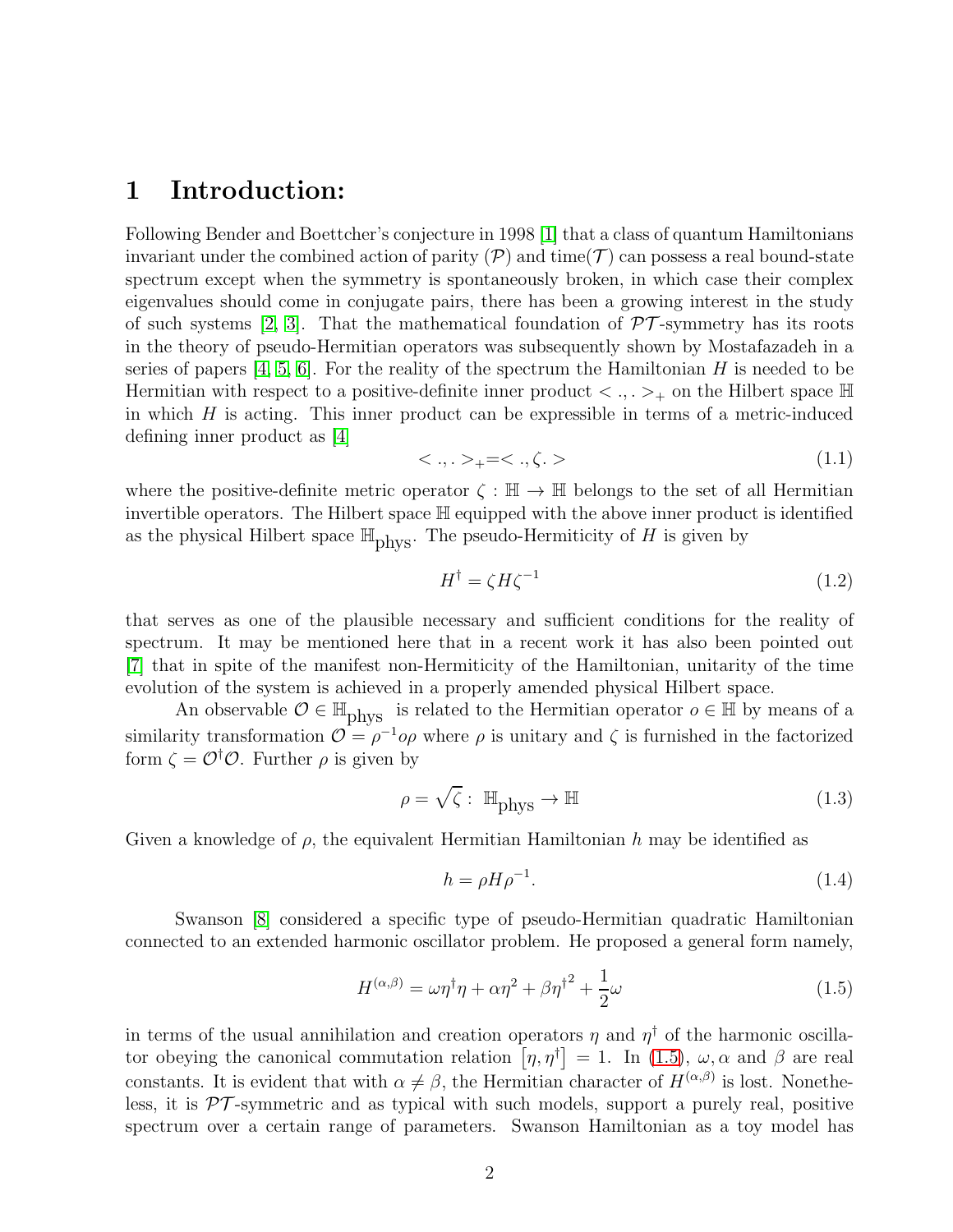#### 1 Introduction:

Following Bender and Boettcher's conjecture in 1998 [\[1\]](#page-14-0) that a class of quantum Hamiltonians invariant under the combined action of parity  $(\mathcal{P})$  and time( $\mathcal{T}$ ) can possess a real bound-state spectrum except when the symmetry is spontaneously broken, in which case their complex eigenvalues should come in conjugate pairs, there has been a growing interest in the study of such systems [\[2,](#page-14-1) [3\]](#page-14-2). That the mathematical foundation of  $\mathcal{PT}$ -symmetry has its roots in the theory of pseudo-Hermitian operators was subsequently shown by Mostafazadeh in a series of papers  $[4, 5, 6]$  $[4, 5, 6]$  $[4, 5, 6]$ . For the reality of the spectrum the Hamiltonian H is needed to be Hermitian with respect to a positive-definite inner product  $\langle , . \rangle_+$  on the Hilbert space  $\mathbb{H}$ in which  $H$  is acting. This inner product can be expressible in terms of a metric-induced defining inner product as [\[4\]](#page-14-3)

$$
\langle \cdot, \cdot \rangle_{+} = \langle \cdot, \zeta. \rangle \tag{1.1}
$$

where the positive-definite metric operator  $\zeta : \mathbb{H} \to \mathbb{H}$  belongs to the set of all Hermitian invertible operators. The Hilbert space H equipped with the above inner product is identified as the physical Hilbert space  $\mathbb{H}_{\text{phys}}$ . The pseudo-Hermiticity of H is given by

$$
H^{\dagger} = \zeta H \zeta^{-1} \tag{1.2}
$$

that serves as one of the plausible necessary and sufficient conditions for the reality of spectrum. It may be mentioned here that in a recent work it has also been pointed out [\[7\]](#page-14-6) that in spite of the manifest non-Hermiticity of the Hamiltonian, unitarity of the time evolution of the system is achieved in a properly amended physical Hilbert space.

An observable  $\mathcal{O} \in \mathbb{H}_{\text{phys}}$  is related to the Hermitian operator  $o \in \mathbb{H}$  by means of a similarity transformation  $\mathcal{O} = \rho^{-1} \rho \rho$  where  $\rho$  is unitary and  $\zeta$  is furnished in the factorized form  $\zeta = \mathcal{O}^{\dagger} \mathcal{O}$ . Further  $\rho$  is given by

<span id="page-1-1"></span>
$$
\rho = \sqrt{\zeta} : \mathbb{H}_{\text{phys}} \to \mathbb{H}
$$
\n(1.3)

Given a knowledge of  $\rho$ , the equivalent Hermitian Hamiltonian h may be identified as

$$
h = \rho H \rho^{-1}.\tag{1.4}
$$

Swanson [\[8\]](#page-14-7) considered a specific type of pseudo-Hermitian quadratic Hamiltonian connected to an extended harmonic oscillator problem. He proposed a general form namely,

<span id="page-1-0"></span>
$$
H^{(\alpha,\beta)} = \omega \eta^{\dagger} \eta + \alpha \eta^2 + \beta \eta^{\dagger^2} + \frac{1}{2} \omega \tag{1.5}
$$

in terms of the usual annihilation and creation operators  $\eta$  and  $\eta^{\dagger}$  of the harmonic oscillator obeying the canonical commutation relation  $[\eta, \eta^{\dagger}] = 1$ . In [\(1.5\)](#page-1-0),  $\omega, \alpha$  and  $\beta$  are real constants. It is evident that with  $\alpha \neq \beta$ , the Hermitian character of  $H^{(\alpha,\beta)}$  is lost. Nonetheless, it is  $\mathcal{PT}$ -symmetric and as typical with such models, support a purely real, positive spectrum over a certain range of parameters. Swanson Hamiltonian as a toy model has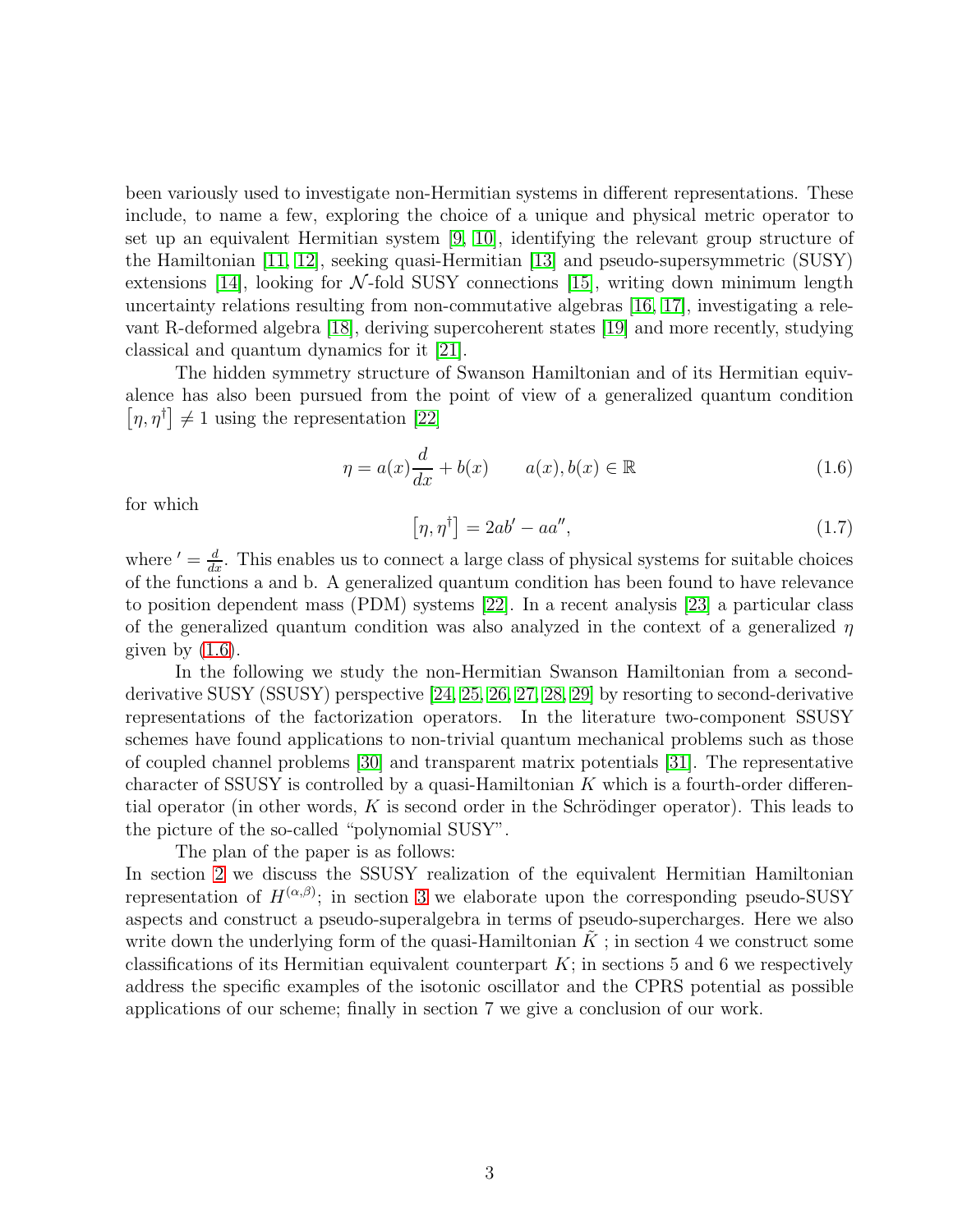been variously used to investigate non-Hermitian systems in different representations. These include, to name a few, exploring the choice of a unique and physical metric operator to set up an equivalent Hermitian system [\[9,](#page-14-8) [10\]](#page-14-9), identifying the relevant group structure of the Hamiltonian [\[11,](#page-14-10) [12\]](#page-14-11), seeking quasi-Hermitian [\[13\]](#page-14-12) and pseudo-supersymmetric (SUSY) extensions [\[14\]](#page-14-13), looking for  $\mathcal{N}\text{-fold SUSY}$  connections [\[15\]](#page-14-14), writing down minimum length uncertainty relations resulting from non-commutative algebras [\[16,](#page-14-15) [17\]](#page-14-16), investigating a relevant R-deformed algebra [\[18\]](#page-14-17), deriving supercoherent states [\[19\]](#page-14-18) and more recently, studying classical and quantum dynamics for it [\[21\]](#page-14-19).

The hidden symmetry structure of Swanson Hamiltonian and of its Hermitian equivalence has also been pursued from the point of view of a generalized quantum condition  $[\eta, \eta^{\dagger}] \neq 1$  using the representation [\[22\]](#page-14-20)

<span id="page-2-0"></span>
$$
\eta = a(x)\frac{d}{dx} + b(x) \qquad a(x), b(x) \in \mathbb{R} \tag{1.6}
$$

for which

<span id="page-2-1"></span>
$$
[\eta, \eta^{\dagger}] = 2ab' - aa'', \qquad (1.7)
$$

where  $' = \frac{d}{dx}$ . This enables us to connect a large class of physical systems for suitable choices of the functions a and b. A generalized quantum condition has been found to have relevance to position dependent mass (PDM) systems [\[22\]](#page-14-20). In a recent analysis [\[23\]](#page-14-21) a particular class of the generalized quantum condition was also analyzed in the context of a generalized  $\eta$ given by  $(1.6)$ .

In the following we study the non-Hermitian Swanson Hamiltonian from a secondderivative SUSY (SSUSY) perspective [\[24,](#page-15-0) [25,](#page-15-1) [26,](#page-15-2) [27,](#page-15-3) [28,](#page-15-4) [29\]](#page-15-5) by resorting to second-derivative representations of the factorization operators. In the literature two-component SSUSY schemes have found applications to non-trivial quantum mechanical problems such as those of coupled channel problems [\[30\]](#page-15-6) and transparent matrix potentials [\[31\]](#page-15-7). The representative character of SSUSY is controlled by a quasi-Hamiltonian  $K$  which is a fourth-order differential operator (in other words, K is second order in the Schrödinger operator). This leads to the picture of the so-called "polynomial SUSY".

The plan of the paper is as follows:

In section [2](#page-3-0) we discuss the SSUSY realization of the equivalent Hermitian Hamiltonian representation of  $H^{(\alpha,\beta)}$ ; in section [3](#page-4-0) we elaborate upon the corresponding pseudo-SUSY aspects and construct a pseudo-superalgebra in terms of pseudo-supercharges. Here we also write down the underlying form of the quasi-Hamiltonian  $K$ ; in section 4 we construct some classifications of its Hermitian equivalent counterpart  $K$ ; in sections 5 and 6 we respectively address the specific examples of the isotonic oscillator and the CPRS potential as possible applications of our scheme; finally in section 7 we give a conclusion of our work.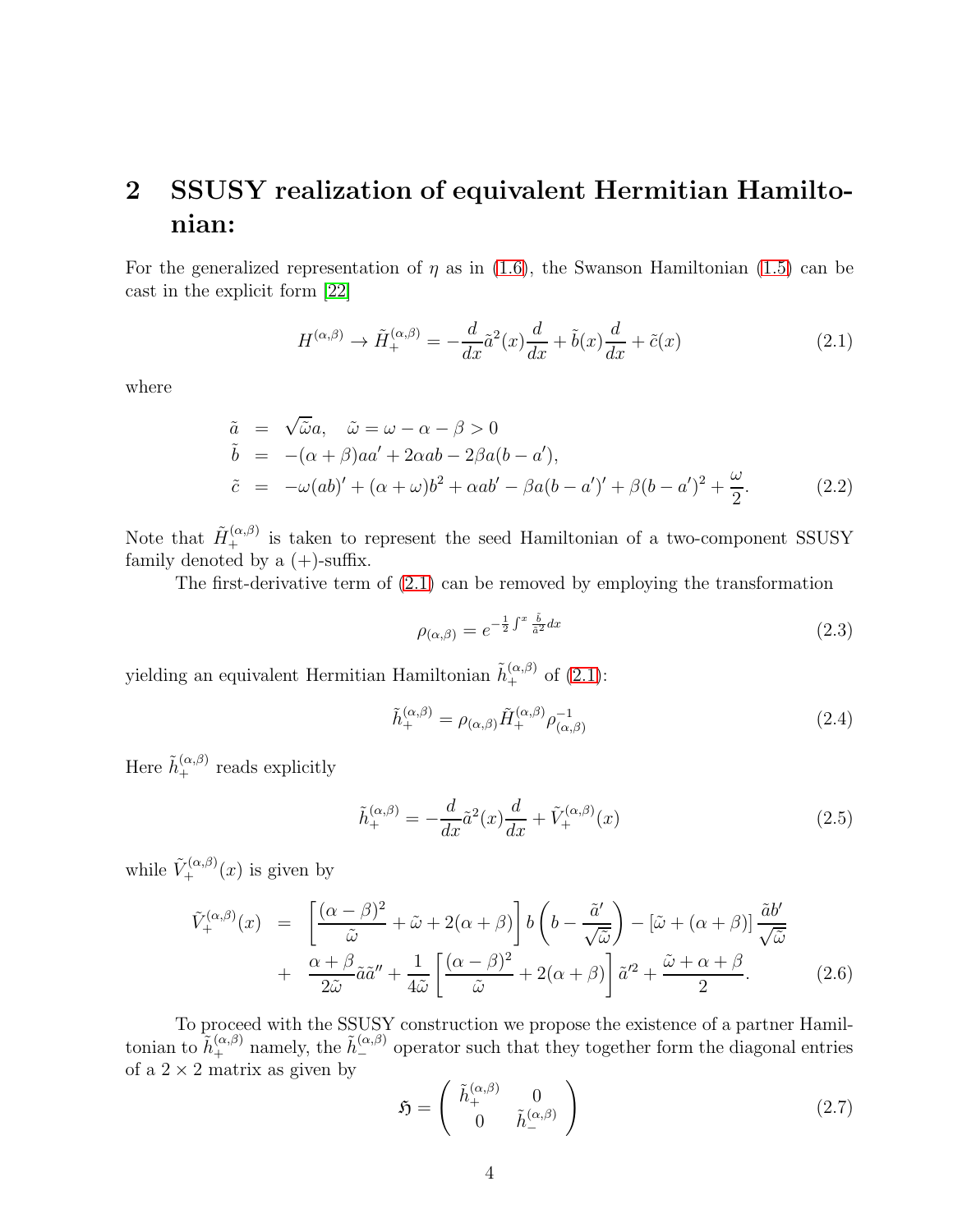# <span id="page-3-0"></span>2 SSUSY realization of equivalent Hermitian Hamiltonian:

For the generalized representation of  $\eta$  as in [\(1.6\)](#page-2-0), the Swanson Hamiltonian [\(1.5\)](#page-1-0) can be cast in the explicit form [\[22\]](#page-14-20)

<span id="page-3-1"></span>
$$
H^{(\alpha,\beta)} \to \tilde{H}_{+}^{(\alpha,\beta)} = -\frac{d}{dx}\tilde{a}^{2}(x)\frac{d}{dx} + \tilde{b}(x)\frac{d}{dx} + \tilde{c}(x)
$$
\n(2.1)

where

$$
\tilde{a} = \sqrt{\tilde{\omega}}a, \quad \tilde{\omega} = \omega - \alpha - \beta > 0
$$
  
\n
$$
\tilde{b} = -(\alpha + \beta)aa' + 2\alpha ab - 2\beta a(b - a'),
$$
  
\n
$$
\tilde{c} = -\omega(ab)' + (\alpha + \omega)b^2 + \alpha ab' - \beta a(b - a')' + \beta(b - a')^2 + \frac{\omega}{2}.
$$
\n(2.2)

Note that  $\tilde{H}_{+}^{(\alpha,\beta)}$  is taken to represent the seed Hamiltonian of a two-component SSUSY family denoted by a  $(+)$ -suffix.

The first-derivative term of [\(2.1\)](#page-3-1) can be removed by employing the transformation

<span id="page-3-3"></span>
$$
\rho_{(\alpha,\beta)} = e^{-\frac{1}{2}\int^x \frac{\tilde{b}}{\tilde{a}^2} dx} \tag{2.3}
$$

yielding an equivalent Hermitian Hamiltonian  $\tilde{h}_{+}^{(\alpha,\beta)}$  of [\(2.1\)](#page-3-1):

$$
\tilde{h}^{(\alpha,\beta)}_{+} = \rho_{(\alpha,\beta)} \tilde{H}^{(\alpha,\beta)}_{+} \rho^{-1}_{(\alpha,\beta)}
$$
\n(2.4)

Here  $\tilde{h}_{+}^{(\alpha,\beta)}$  reads explicitly

<span id="page-3-4"></span>
$$
\tilde{h}_{+}^{(\alpha,\beta)} = -\frac{d}{dx}\tilde{a}^{2}(x)\frac{d}{dx} + \tilde{V}_{+}^{(\alpha,\beta)}(x)
$$
\n(2.5)

while  $\tilde{V}_{+}^{(\alpha,\beta)}(x)$  is given by

<span id="page-3-2"></span>
$$
\tilde{V}_{+}^{(\alpha,\beta)}(x) = \left[\frac{(\alpha-\beta)^2}{\tilde{\omega}} + \tilde{\omega} + 2(\alpha+\beta)\right] b\left(b - \frac{\tilde{a}'}{\sqrt{\tilde{\omega}}}\right) - \left[\tilde{\omega} + (\alpha+\beta)\right] \frac{\tilde{a}b'}{\sqrt{\tilde{\omega}}}
$$
\n
$$
+ \frac{\alpha+\beta}{2\tilde{\omega}} \tilde{a}\tilde{a}'' + \frac{1}{4\tilde{\omega}} \left[\frac{(\alpha-\beta)^2}{\tilde{\omega}} + 2(\alpha+\beta)\right] \tilde{a}'^{2} + \frac{\tilde{\omega}+\alpha+\beta}{2}.
$$
\n(2.6)

To proceed with the SSUSY construction we propose the existence of a partner Hamiltonian to  $\tilde{h}^{(\alpha,\beta)}_+$  namely, the  $\tilde{h}^{(\alpha,\beta)}_-$  operator such that they together form the diagonal entries of a  $2 \times 2$  matrix as given by

$$
\mathfrak{H} = \begin{pmatrix} \tilde{h}_{+}^{(\alpha,\beta)} & 0 \\ 0 & \tilde{h}_{-}^{(\alpha,\beta)} \end{pmatrix}
$$
 (2.7)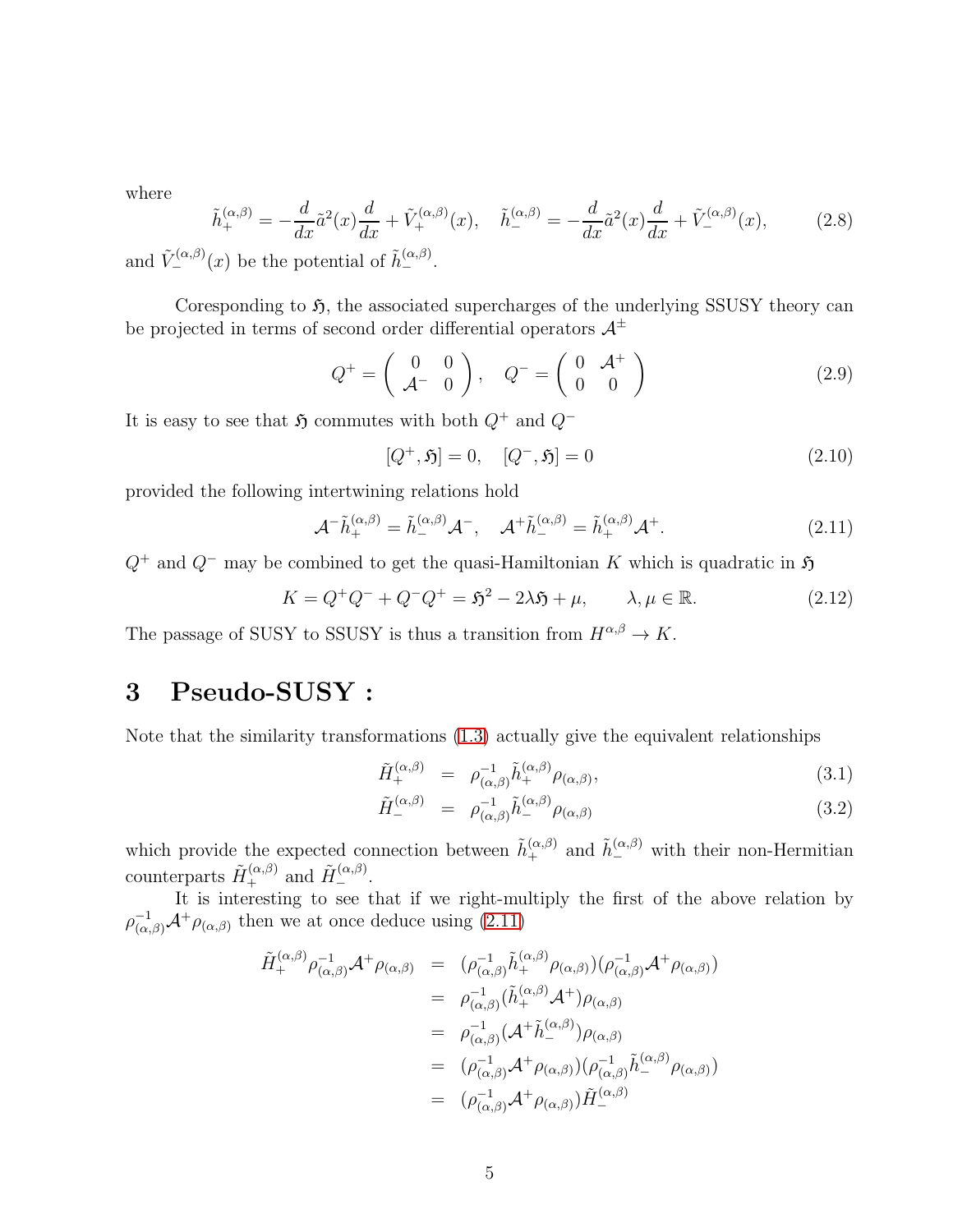where

$$
\tilde{h}_{+}^{(\alpha,\beta)} = -\frac{d}{dx}\tilde{a}^{2}(x)\frac{d}{dx} + \tilde{V}_{+}^{(\alpha,\beta)}(x), \quad \tilde{h}_{-}^{(\alpha,\beta)} = -\frac{d}{dx}\tilde{a}^{2}(x)\frac{d}{dx} + \tilde{V}_{-}^{(\alpha,\beta)}(x),
$$
\n(2.8)

and  $\tilde{V}_{-}^{(\alpha,\beta)}(x)$  be the potential of  $\tilde{h}_{-}^{(\alpha,\beta)}$ .

Coresponding to  $\mathfrak{H}$ , the associated supercharges of the underlying SSUSY theory can be projected in terms of second order differential operators  $A^{\pm}$ 

<span id="page-4-3"></span>
$$
Q^{+} = \left(\begin{array}{cc} 0 & 0 \\ \mathcal{A}^{-} & 0 \end{array}\right), \quad Q^{-} = \left(\begin{array}{cc} 0 & \mathcal{A}^{+} \\ 0 & 0 \end{array}\right) \tag{2.9}
$$

It is easy to see that  $\mathfrak{H}$  commutes with both  $Q^+$  and  $Q^-$ 

$$
[Q^+,\mathfrak{H}] = 0, \quad [Q^-,\mathfrak{H}] = 0 \tag{2.10}
$$

provided the following intertwining relations hold

<span id="page-4-1"></span>
$$
\mathcal{A}^{-}\tilde{h}_{+}^{(\alpha,\beta)} = \tilde{h}_{-}^{(\alpha,\beta)}\mathcal{A}^{-}, \quad \mathcal{A}^{+}\tilde{h}_{-}^{(\alpha,\beta)} = \tilde{h}_{+}^{(\alpha,\beta)}\mathcal{A}^{+}.
$$
\n(2.11)

 $Q^+$  and  $Q^-$  may be combined to get the quasi-Hamiltonian K which is quadratic in  $\mathfrak{H}$ 

<span id="page-4-4"></span>
$$
K = Q^{+}Q^{-} + Q^{-}Q^{+} = \mathfrak{H}^{2} - 2\lambda \mathfrak{H} + \mu, \qquad \lambda, \mu \in \mathbb{R}.
$$
 (2.12)

The passage of SUSY to SSUSY is thus a transition from  $H^{\alpha,\beta} \to K$ .

#### <span id="page-4-0"></span>3 Pseudo-SUSY :

Note that the similarity transformations [\(1.3\)](#page-1-1) actually give the equivalent relationships

<span id="page-4-2"></span>
$$
\tilde{H}_{+}^{(\alpha,\beta)} = \rho_{(\alpha,\beta)}^{-1} \tilde{h}_{+}^{(\alpha,\beta)} \rho_{(\alpha,\beta)}, \qquad (3.1)
$$

$$
\tilde{H}_{-}^{(\alpha,\beta)} = \rho_{(\alpha,\beta)}^{-1} \tilde{h}_{-}^{(\alpha,\beta)} \rho_{(\alpha,\beta)}
$$
\n(3.2)

which provide the expected connection between  $\tilde{h}^{(\alpha,\beta)}_+$  and  $\tilde{h}^{(\alpha,\beta)}_-$  with their non-Hermitian counterparts  $\tilde{H}_{+}^{(\alpha,\beta)}$  and  $\tilde{H}_{-}^{(\alpha,\beta)}$ .

It is interesting to see that if we right-multiply the first of the above relation by  $\rho_{(\alpha,\beta)}^{-1} \mathcal{A}^+\rho_{(\alpha,\beta)}$  then we at once deduce using  $(2.11)$ 

$$
\tilde{H}_{+}^{(\alpha,\beta)} \rho_{(\alpha,\beta)}^{-1} \mathcal{A}^{+} \rho_{(\alpha,\beta)} = (\rho_{(\alpha,\beta)}^{-1} \tilde{h}_{+}^{(\alpha,\beta)} \rho_{(\alpha,\beta)}) (\rho_{(\alpha,\beta)}^{-1} \mathcal{A}^{+} \rho_{(\alpha,\beta)})
$$
\n
$$
= \rho_{(\alpha,\beta)}^{-1} (\tilde{h}_{+}^{(\alpha,\beta)} \mathcal{A}^{+}) \rho_{(\alpha,\beta)}
$$
\n
$$
= \rho_{(\alpha,\beta)}^{-1} (\mathcal{A}^{+} \tilde{h}_{-}^{(\alpha,\beta)}) \rho_{(\alpha,\beta)}
$$
\n
$$
= (\rho_{(\alpha,\beta)}^{-1} \mathcal{A}^{+} \rho_{(\alpha,\beta)}) (\rho_{(\alpha,\beta)}^{-1} \tilde{h}_{-}^{(\alpha,\beta)} \rho_{(\alpha,\beta)})
$$
\n
$$
= (\rho_{(\alpha,\beta)}^{-1} \mathcal{A}^{+} \rho_{(\alpha,\beta)}) \tilde{H}_{-}^{(\alpha,\beta)}
$$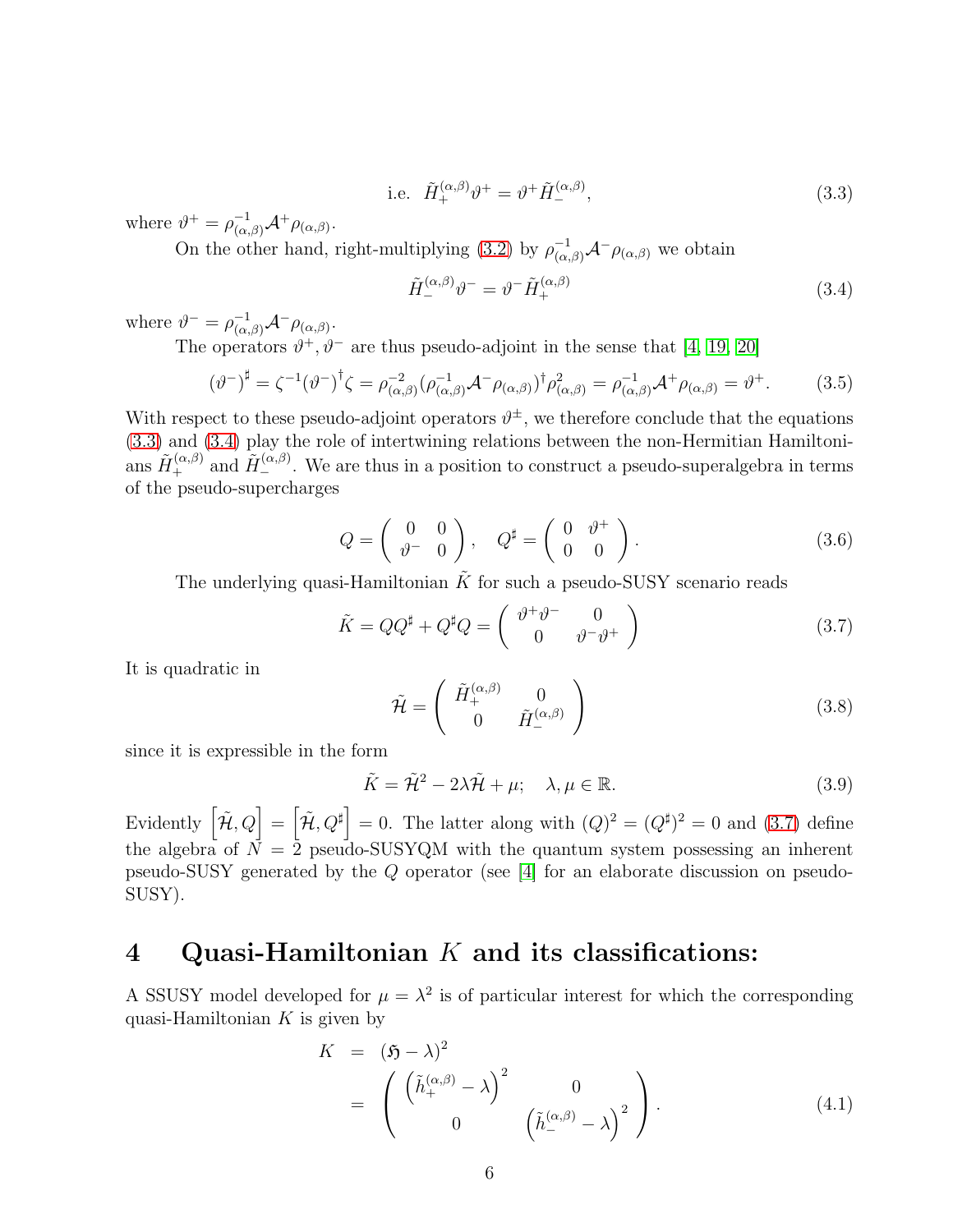<span id="page-5-0"></span>i.e. 
$$
\tilde{H}_{+}^{(\alpha,\beta)}\vartheta^{+} = \vartheta^{+}\tilde{H}_{-}^{(\alpha,\beta)},
$$
 (3.3)

where  $\vartheta^+ = \rho^{-1}_{(\alpha,\beta)} \mathcal{A}^+ \rho_{(\alpha,\beta)}$ .

On the other hand, right-multiplying [\(3.2\)](#page-4-2) by  $\rho_{(\alpha,\beta)}^{-1} \mathcal{A}^{-} \rho_{(\alpha,\beta)}$  we obtain

<span id="page-5-1"></span>
$$
\tilde{H}_{-}^{(\alpha,\beta)}\vartheta^{-} = \vartheta^{-} \tilde{H}_{+}^{(\alpha,\beta)}
$$
\n(3.4)

where  $\vartheta^- = \rho^{-1}_{(\alpha,\beta)} \mathcal{A}^- \rho_{(\alpha,\beta)}$ .

The operators  $\vartheta^+$ ,  $\vartheta^-$  are thus pseudo-adjoint in the sense that [\[4,](#page-14-3) [19,](#page-14-18) [20\]](#page-14-22)

$$
(\vartheta^{-})^{\sharp} = \zeta^{-1}(\vartheta^{-})^{\dagger} \zeta = \rho_{(\alpha,\beta)}^{-2} (\rho_{(\alpha,\beta)}^{-1} \mathcal{A}^{-} \rho_{(\alpha,\beta)})^{\dagger} \rho_{(\alpha,\beta)}^{2} = \rho_{(\alpha,\beta)}^{-1} \mathcal{A}^{+} \rho_{(\alpha,\beta)} = \vartheta^{+}.
$$
 (3.5)

With respect to these pseudo-adjoint operators  $\vartheta^{\pm}$ , we therefore conclude that the equations [\(3.3\)](#page-5-0) and [\(3.4\)](#page-5-1) play the role of intertwining relations between the non-Hermitian Hamiltonians  $\tilde{H}_{+}^{(\alpha,\beta)}$  and  $\tilde{H}_{-}^{(\alpha,\beta)}$ . We are thus in a position to construct a pseudo-superalgebra in terms of the pseudo-supercharges

$$
Q = \left(\begin{array}{cc} 0 & 0 \\ \vartheta^- & 0 \end{array}\right), \quad Q^{\sharp} = \left(\begin{array}{cc} 0 & \vartheta^+ \\ 0 & 0 \end{array}\right). \tag{3.6}
$$

The underlying quasi-Hamiltonian  $K$  for such a pseudo-SUSY scenario reads

<span id="page-5-2"></span>
$$
\tilde{K} = QQ^{\sharp} + Q^{\sharp}Q = \begin{pmatrix} \vartheta^{+}\vartheta^{-} & 0\\ 0 & \vartheta^{-}\vartheta^{+} \end{pmatrix}
$$
\n(3.7)

It is quadratic in

$$
\tilde{\mathcal{H}} = \begin{pmatrix} \tilde{H}_{+}^{(\alpha,\beta)} & 0\\ 0 & \tilde{H}_{-}^{(\alpha,\beta)} \end{pmatrix}
$$
\n(3.8)

since it is expressible in the form

$$
\tilde{K} = \tilde{\mathcal{H}}^2 - 2\lambda \tilde{\mathcal{H}} + \mu; \quad \lambda, \mu \in \mathbb{R}.
$$
\n(3.9)

Evidently  $\left[\tilde{\mathcal{H}}, Q\right] = \left[\tilde{\mathcal{H}}, Q^{\sharp}\right] = 0$ . The latter along with  $(Q)^2 = (Q^{\sharp})^2 = 0$  and  $(3.7)$  define the algebra of  $N = 2$  pseudo-SUSYQM with the quantum system possessing an inherent pseudo-SUSY generated by the Q operator (see [\[4\]](#page-14-3) for an elaborate discussion on pseudo-SUSY).

#### 4 Quasi-Hamiltonian  $K$  and its classifications:

A SSUSY model developed for  $\mu = \lambda^2$  is of particular interest for which the corresponding quasi-Hamiltonian  $K$  is given by

<span id="page-5-3"></span>
$$
K = (\mathfrak{H} - \lambda)^2
$$
  
=  $\begin{pmatrix} (\tilde{h}_+^{(\alpha,\beta)} - \lambda)^2 & 0 \\ 0 & (\tilde{h}_-^{(\alpha,\beta)} - \lambda)^2 \end{pmatrix}$ . (4.1)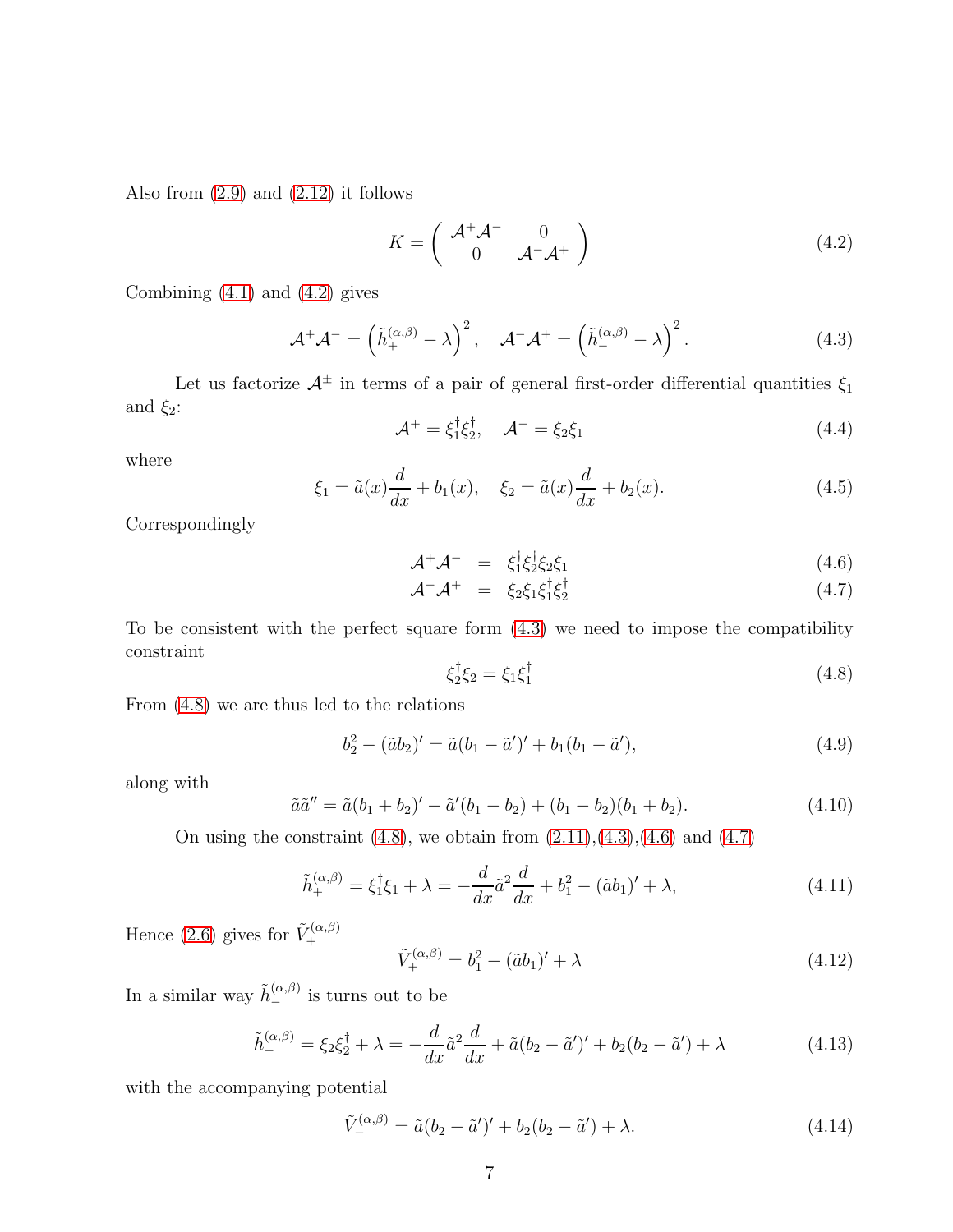Also from  $(2.9)$  and  $(2.12)$  it follows

<span id="page-6-0"></span>
$$
K = \left(\begin{array}{cc} \mathcal{A}^+ \mathcal{A}^- & 0\\ 0 & \mathcal{A}^- \mathcal{A}^+ \end{array}\right) \tag{4.2}
$$

Combining  $(4.1)$  and  $(4.2)$  gives

<span id="page-6-1"></span>
$$
\mathcal{A}^+ \mathcal{A}^- = \left(\tilde{h}_+^{(\alpha,\beta)} - \lambda\right)^2, \quad \mathcal{A}^- \mathcal{A}^+ = \left(\tilde{h}_-^{(\alpha,\beta)} - \lambda\right)^2. \tag{4.3}
$$

Let us factorize  $\mathcal{A}^{\pm}$  in terms of a pair of general first-order differential quantities  $\xi_1$ and  $\xi_2$ :

$$
\mathcal{A}^+ = \xi_1^{\dagger} \xi_2^{\dagger}, \quad \mathcal{A}^- = \xi_2 \xi_1 \tag{4.4}
$$

where

$$
\xi_1 = \tilde{a}(x)\frac{d}{dx} + b_1(x), \quad \xi_2 = \tilde{a}(x)\frac{d}{dx} + b_2(x). \tag{4.5}
$$

Correspondingly

<span id="page-6-3"></span>
$$
\mathcal{A}^+\mathcal{A}^- = \xi_1^{\dagger}\xi_2^{\dagger}\xi_2\xi_1 \tag{4.6}
$$

$$
\mathcal{A}^-\mathcal{A}^+ = \xi_2\xi_1\xi_1^{\dagger}\xi_2^{\dagger} \tag{4.7}
$$

To be consistent with the perfect square form [\(4.3\)](#page-6-1) we need to impose the compatibility constraint

<span id="page-6-2"></span>
$$
\xi_2^{\dagger} \xi_2 = \xi_1 \xi_1^{\dagger} \tag{4.8}
$$

From [\(4.8\)](#page-6-2) we are thus led to the relations

$$
b_2^2 - (\tilde{a}b_2)' = \tilde{a}(b_1 - \tilde{a}')' + b_1(b_1 - \tilde{a}'),
$$
\n(4.9)

along with

<span id="page-6-5"></span>
$$
\tilde{a}\tilde{a}'' = \tilde{a}(b_1 + b_2)' - \tilde{a}'(b_1 - b_2) + (b_1 - b_2)(b_1 + b_2).
$$
\n(4.10)

On using the constraint  $(4.8)$ , we obtain from  $(2.11),(4.3),(4.6)$  $(2.11),(4.3),(4.6)$  $(2.11),(4.3),(4.6)$  $(2.11),(4.3),(4.6)$  and  $(4.7)$ 

$$
\tilde{h}_{+}^{(\alpha,\beta)} = \xi_1^{\dagger} \xi_1 + \lambda = -\frac{d}{dx} \tilde{a}^2 \frac{d}{dx} + b_1^2 - (\tilde{a}b_1)' + \lambda,\tag{4.11}
$$

Hence [\(2.6\)](#page-3-2) gives for  $\tilde{V}^{(\alpha,\beta)}_{+}$ +

<span id="page-6-4"></span>
$$
\tilde{V}_{+}^{(\alpha,\beta)} = b_1^2 - (\tilde{a}b_1)' + \lambda \tag{4.12}
$$

In a similar way  $\tilde{h}_{-}^{(\alpha,\beta)}$  is turns out to be

$$
\tilde{h}_{-}^{(\alpha,\beta)} = \xi_2 \xi_2^{\dagger} + \lambda = -\frac{d}{dx} \tilde{a}^2 \frac{d}{dx} + \tilde{a}(b_2 - \tilde{a}')' + b_2(b_2 - \tilde{a}') + \lambda
$$
\n(4.13)

with the accompanying potential

<span id="page-6-6"></span>
$$
\tilde{V}_{-}^{(\alpha,\beta)} = \tilde{a}(b_2 - \tilde{a}')' + b_2(b_2 - \tilde{a}') + \lambda.
$$
\n(4.14)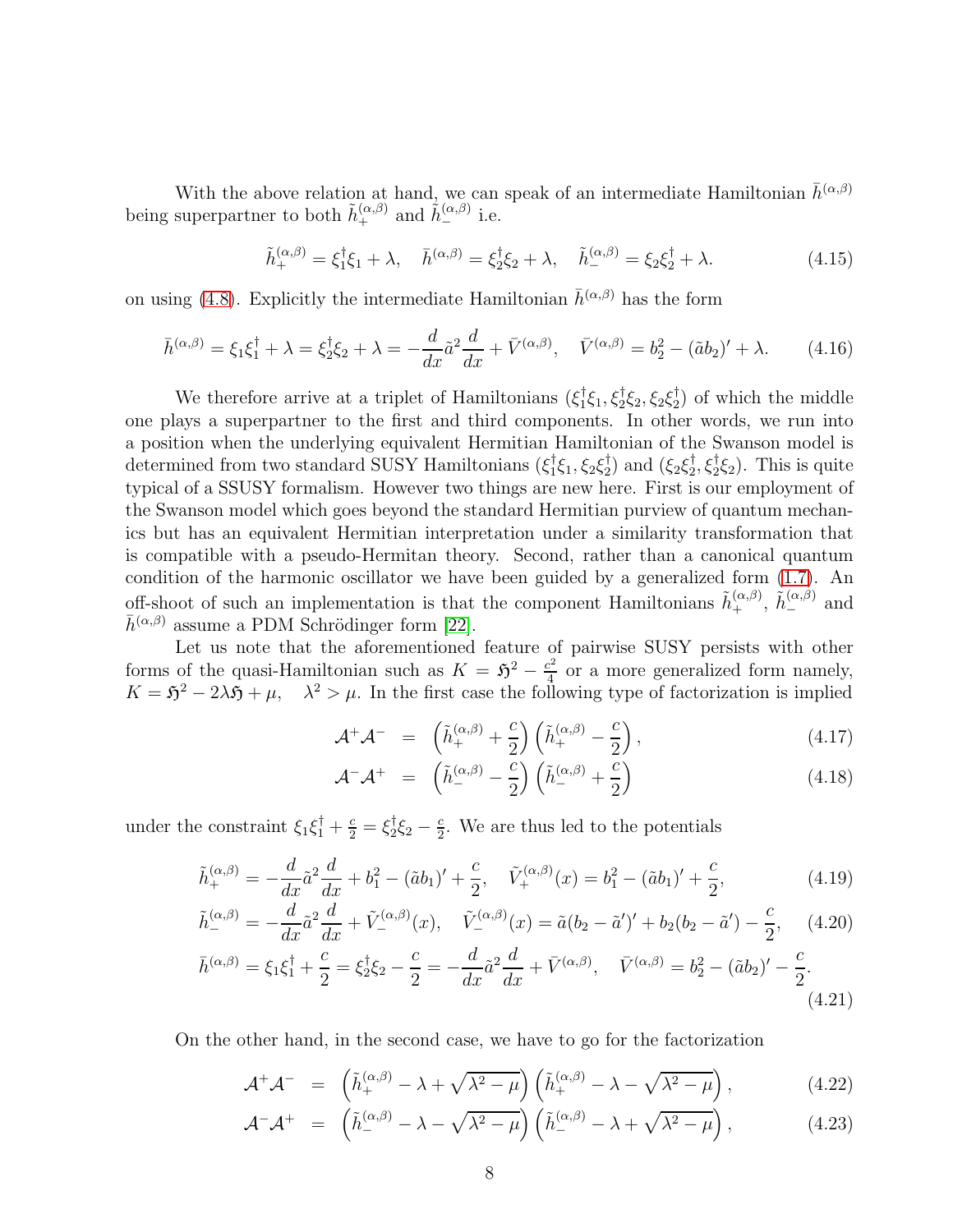With the above relation at hand, we can speak of an intermediate Hamiltonian  $\bar{h}^{(\alpha,\beta)}$ being superpartner to both  $\tilde{h}_{+}^{(\alpha,\beta)}$  and  $\tilde{h}_{-}^{(\alpha,\beta)}$  i.e.

$$
\tilde{h}_{+}^{(\alpha,\beta)} = \xi_1^{\dagger} \xi_1 + \lambda, \quad \bar{h}_{-}^{(\alpha,\beta)} = \xi_2^{\dagger} \xi_2 + \lambda, \quad \tilde{h}_{-}^{(\alpha,\beta)} = \xi_2 \xi_2^{\dagger} + \lambda. \tag{4.15}
$$

on using [\(4.8\)](#page-6-2). Explicitly the intermediate Hamiltonian  $\bar{h}^{(\alpha,\beta)}$  has the form

<span id="page-7-0"></span>
$$
\bar{h}^{(\alpha,\beta)} = \xi_1 \xi_1^{\dagger} + \lambda = \xi_2^{\dagger} \xi_2 + \lambda = -\frac{d}{dx} \tilde{a}^2 \frac{d}{dx} + \bar{V}^{(\alpha,\beta)}, \quad \bar{V}^{(\alpha,\beta)} = b_2^2 - (\tilde{a}b_2)' + \lambda. \tag{4.16}
$$

We therefore arrive at a triplet of Hamiltonians  $(\xi_1^{\dagger})$  ${}^{\dagger}_{1}\xi_{1}, \xi^{\dagger}_{2}\xi_{2}, \xi_{2}\xi^{\dagger}_{2}$  $\binom{7}{2}$  of which the middle one plays a superpartner to the first and third components. In other words, we run into a position when the underlying equivalent Hermitian Hamiltonian of the Swanson model is determined from two standard SUSY Hamiltonians  $(\xi_1^{\dagger})$  ${}^{\dagger}_{1}\xi_{1}, \xi_{2}\xi^{\dagger}_{2}$  $\binom{1}{2}$  and  $(\xi_2 \xi_2^{\dagger})$  $\zeta_2^{\dagger}, \zeta_2^{\dagger} \zeta_2$ ). This is quite typical of a SSUSY formalism. However two things are new here. First is our employment of the Swanson model which goes beyond the standard Hermitian purview of quantum mechanics but has an equivalent Hermitian interpretation under a similarity transformation that is compatible with a pseudo-Hermitan theory. Second, rather than a canonical quantum condition of the harmonic oscillator we have been guided by a generalized form [\(1.7\)](#page-2-1). An off-shoot of such an implementation is that the component Hamiltonians  $\tilde{h}^{(\alpha,\beta)}_+$ ,  $\tilde{h}^{(\alpha,\beta)}_-$  and  $\bar{h}^{(\alpha,\beta)}$  assume a PDM Schrödinger form [\[22\]](#page-14-20).

Let us note that the aforementioned feature of pairwise SUSY persists with other forms of the quasi-Hamiltonian such as  $K = \mathfrak{H}^2 - \frac{c^2}{4}$  $\frac{e^2}{4}$  or a more generalized form namely,  $K = \mathfrak{H}^2 - 2\lambda \mathfrak{H} + \mu$ ,  $\lambda^2 > \mu$ . In the first case the following type of factorization is implied

$$
\mathcal{A}^+ \mathcal{A}^- = \left( \tilde{h}_+^{(\alpha,\beta)} + \frac{c}{2} \right) \left( \tilde{h}_+^{(\alpha,\beta)} - \frac{c}{2} \right), \tag{4.17}
$$

$$
\mathcal{A}^{-}\mathcal{A}^{+} = \left(\tilde{h}_{-}^{(\alpha,\beta)} - \frac{c}{2}\right)\left(\tilde{h}_{-}^{(\alpha,\beta)} + \frac{c}{2}\right)
$$
\n(4.18)

under the constraint  $\xi_1 \xi_1^{\dagger} + \frac{c}{2} = \xi_2^{\dagger}$  $\frac{1}{2}\xi_2-\frac{c}{2}$  $\frac{c}{2}$ . We are thus led to the potentials

$$
\tilde{h}^{(\alpha,\beta)}_{+} = -\frac{d}{dx}\tilde{a}^{2}\frac{d}{dx} + b_{1}^{2} - (\tilde{a}b_{1})' + \frac{c}{2}, \quad \tilde{V}_{+}^{(\alpha,\beta)}(x) = b_{1}^{2} - (\tilde{a}b_{1})' + \frac{c}{2},\tag{4.19}
$$

$$
\tilde{h}^{(\alpha,\beta)}_{-} = -\frac{d}{dx}\tilde{a}^2\frac{d}{dx} + \tilde{V}^{(\alpha,\beta)}_{-}(x), \quad \tilde{V}^{(\alpha,\beta)}_{-}(x) = \tilde{a}(b_2 - \tilde{a}')' + b_2(b_2 - \tilde{a}') - \frac{c}{2}, \quad (4.20)
$$

$$
\bar{h}^{(\alpha,\beta)} = \xi_1 \xi_1^{\dagger} + \frac{c}{2} = \xi_2^{\dagger} \xi_2 - \frac{c}{2} = -\frac{d}{dx} \tilde{a}^2 \frac{d}{dx} + \bar{V}^{(\alpha,\beta)}, \quad \bar{V}^{(\alpha,\beta)} = b_2^2 - (\tilde{a}b_2)' - \frac{c}{2}.
$$
\n(4.21)

On the other hand, in the second case, we have to go for the factorization

$$
\mathcal{A}^+\mathcal{A}^- = \left(\tilde{h}_+^{(\alpha,\beta)} - \lambda + \sqrt{\lambda^2 - \mu}\right) \left(\tilde{h}_+^{(\alpha,\beta)} - \lambda - \sqrt{\lambda^2 - \mu}\right),\tag{4.22}
$$

$$
\mathcal{A}^{-}\mathcal{A}^{+} = \left(\tilde{h}_{-}^{(\alpha,\beta)} - \lambda - \sqrt{\lambda^{2} - \mu}\right)\left(\tilde{h}_{-}^{(\alpha,\beta)} - \lambda + \sqrt{\lambda^{2} - \mu}\right),\tag{4.23}
$$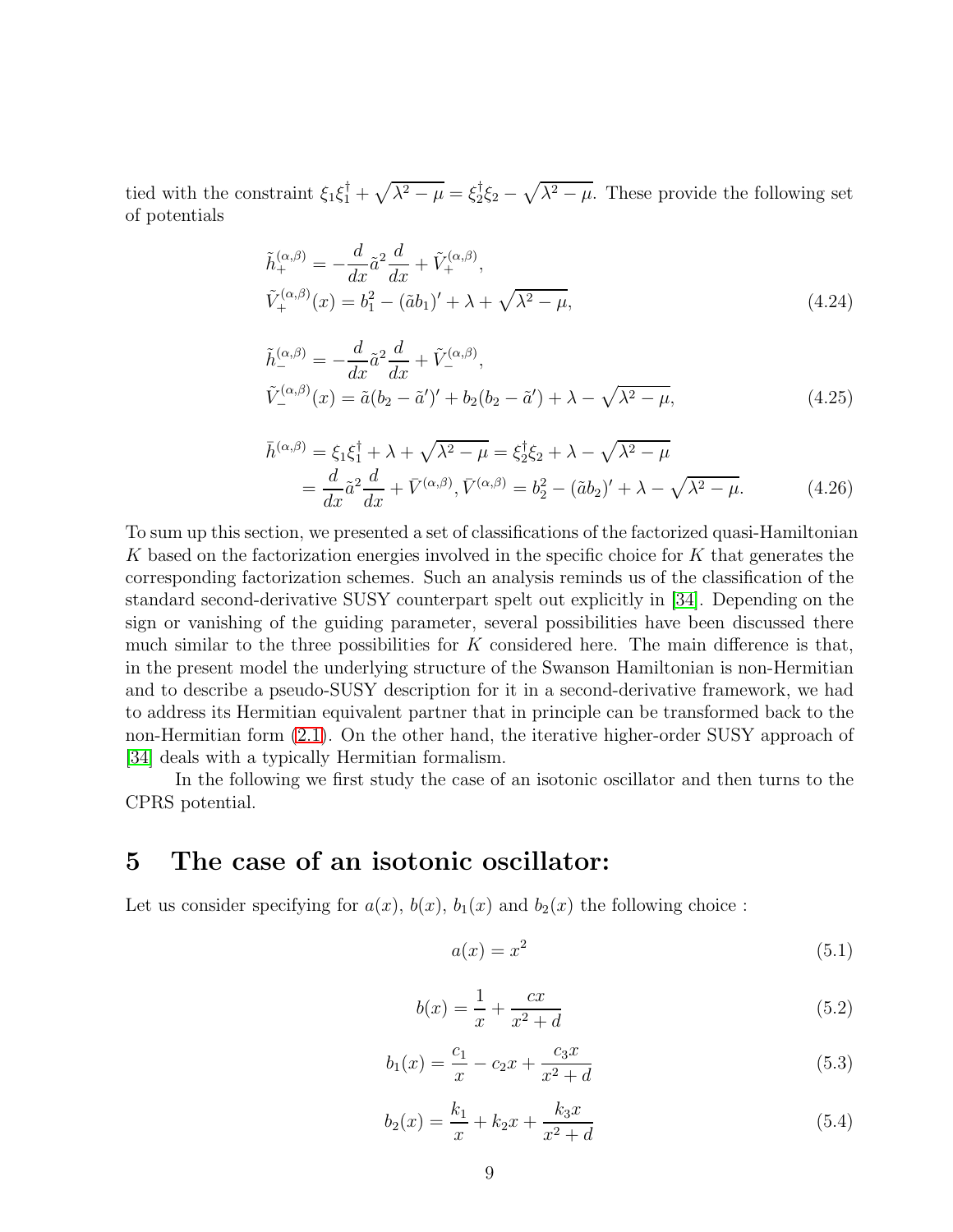tied with the constraint  $\xi_1 \xi_1^{\dagger} + \sqrt{\lambda^2 - \mu} = \xi_2^{\dagger}$  $\frac{1}{2}\xi_2 - \sqrt{\lambda^2 - \mu}$ . These provide the following set of potentials

$$
\tilde{h}_{+}^{(\alpha,\beta)} = -\frac{d}{dx}\tilde{a}^{2}\frac{d}{dx} + \tilde{V}_{+}^{(\alpha,\beta)},
$$
\n
$$
\tilde{V}_{+}^{(\alpha,\beta)}(x) = b_{1}^{2} - (\tilde{a}b_{1})' + \lambda + \sqrt{\lambda^{2} - \mu},
$$
\n(4.24)

$$
\tilde{h}^{(\alpha,\beta)}_{-} = -\frac{d}{dx}\tilde{a}^{2}\frac{d}{dx} + \tilde{V}^{(\alpha,\beta)}_{-}, \n\tilde{V}^{(\alpha,\beta)}_{-}(x) = \tilde{a}(b_{2} - \tilde{a}')' + b_{2}(b_{2} - \tilde{a}') + \lambda - \sqrt{\lambda^{2} - \mu},
$$
\n(4.25)

$$
\bar{h}^{(\alpha,\beta)} = \xi_1 \xi_1^{\dagger} + \lambda + \sqrt{\lambda^2 - \mu} = \xi_2^{\dagger} \xi_2 + \lambda - \sqrt{\lambda^2 - \mu} \n= \frac{d}{dx} \tilde{a}^2 \frac{d}{dx} + \bar{V}^{(\alpha,\beta)}, \bar{V}^{(\alpha,\beta)} = b_2^2 - (\tilde{a}b_2)' + \lambda - \sqrt{\lambda^2 - \mu}.
$$
\n(4.26)

To sum up this section, we presented a set of classifications of the factorized quasi-Hamiltonian K based on the factorization energies involved in the specific choice for K that generates the corresponding factorization schemes. Such an analysis reminds us of the classification of the standard second-derivative SUSY counterpart spelt out explicitly in [\[34\]](#page-15-8). Depending on the sign or vanishing of the guiding parameter, several possibilities have been discussed there much similar to the three possibilities for  $K$  considered here. The main difference is that, in the present model the underlying structure of the Swanson Hamiltonian is non-Hermitian and to describe a pseudo-SUSY description for it in a second-derivative framework, we had to address its Hermitian equivalent partner that in principle can be transformed back to the non-Hermitian form [\(2.1\)](#page-3-1). On the other hand, the iterative higher-order SUSY approach of [\[34\]](#page-15-8) deals with a typically Hermitian formalism.

In the following we first study the case of an isotonic oscillator and then turns to the CPRS potential.

### 5 The case of an isotonic oscillator:

Let us consider specifying for  $a(x)$ ,  $b(x)$ ,  $b_1(x)$  and  $b_2(x)$  the following choice:

$$
a(x) = x^2 \tag{5.1}
$$

$$
b(x) = \frac{1}{x} + \frac{cx}{x^2 + d}
$$
\n(5.2)

$$
b_1(x) = \frac{c_1}{x} - c_2 x + \frac{c_3 x}{x^2 + d}
$$
\n(5.3)

$$
b_2(x) = \frac{k_1}{x} + k_2 x + \frac{k_3 x}{x^2 + d}
$$
\n(5.4)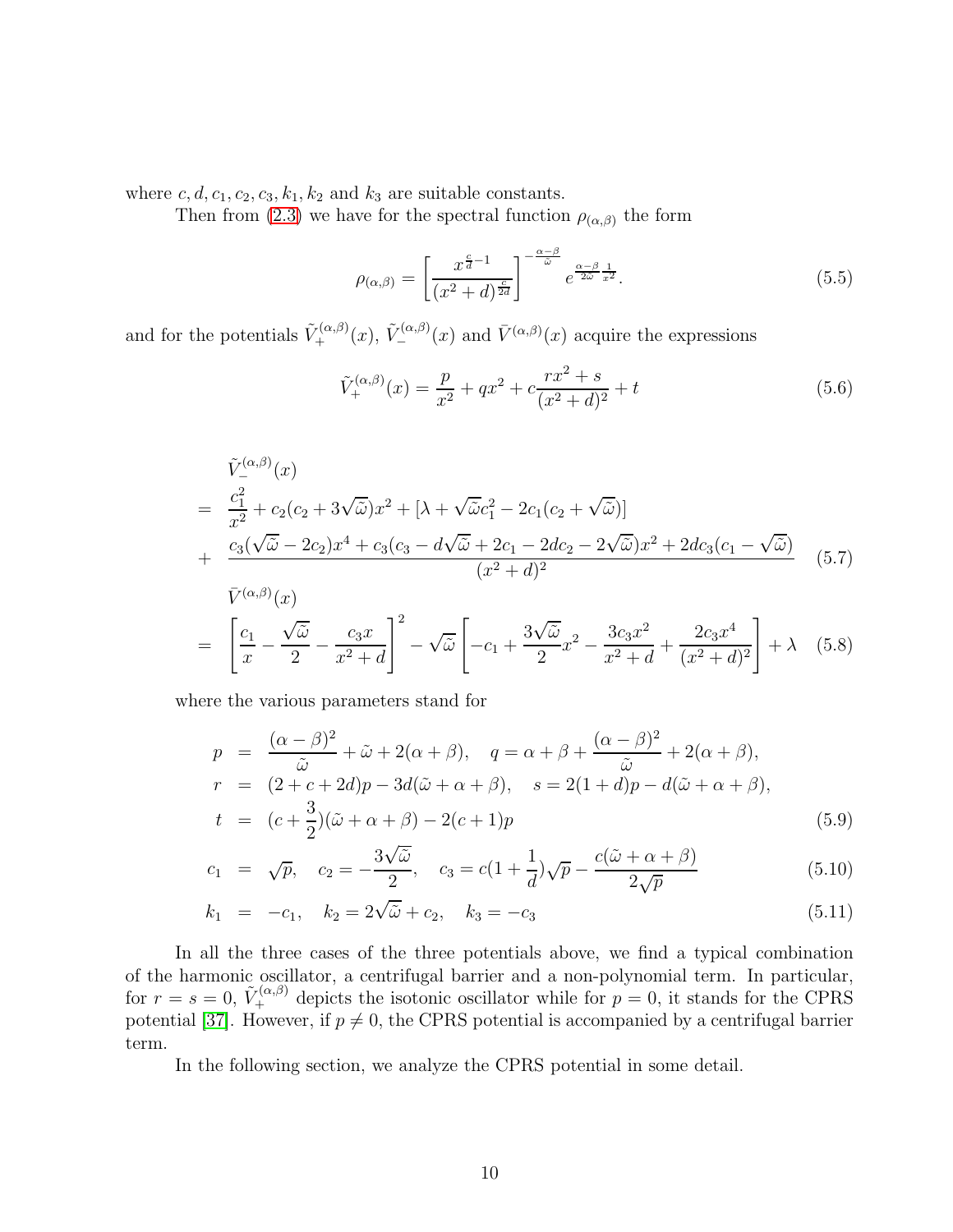where  $c, d, c_1, c_2, c_3, k_1, k_2$  and  $k_3$  are suitable constants.

Then from [\(2.3\)](#page-3-3) we have for the spectral function  $\rho_{(\alpha,\beta)}$  the form

$$
\rho_{(\alpha,\beta)} = \left[\frac{x^{\frac{c}{d}-1}}{(x^2+d)^{\frac{c}{2d}}}\right]^{-\frac{\alpha-\beta}{\tilde{\omega}}} e^{\frac{\alpha-\beta}{2\tilde{\omega}}\frac{1}{x^2}}.
$$
\n(5.5)

and for the potentials  $\tilde{V}_+^{(\alpha,\beta)}(x)$ ,  $\tilde{V}_-^{(\alpha,\beta)}(x)$  and  $\bar{V}^{(\alpha,\beta)}(x)$  acquire the expressions

$$
\tilde{V}_{+}^{(\alpha,\beta)}(x) = \frac{p}{x^2} + qx^2 + c\frac{rx^2 + s}{(x^2 + d)^2} + t
$$
\n(5.6)

 $(x^2+d)^2$ 

$$
\tilde{V}_{-}^{(\alpha,\beta)}(x) = \frac{c_1^2}{x^2} + c_2(c_2 + 3\sqrt{\tilde{\omega}})x^2 + [\lambda + \sqrt{\tilde{\omega}}c_1^2 - 2c_1(c_2 + \sqrt{\tilde{\omega}})] \n+ \frac{c_3(\sqrt{\tilde{\omega}} - 2c_2)x^4 + c_3(c_3 - d\sqrt{\tilde{\omega}} + 2c_1 - 2dc_2 - 2\sqrt{\tilde{\omega}})x^2 + 2dc_3(c_1 - \sqrt{\tilde{\omega}})}{(x^2 + d)^2} \qquad (5.7)
$$
\n
$$
= \left[\frac{c_1}{x} - \frac{\sqrt{\tilde{\omega}}}{2} - \frac{c_3x}{x^2 + d}\right]^2 - \sqrt{\tilde{\omega}} \left[-c_1 + \frac{3\sqrt{\tilde{\omega}}}{2}x^2 - \frac{3c_3x^2}{x^2 + d} + \frac{2c_3x^4}{(x^2 + d)^2}\right] + \lambda \quad (5.8)
$$

where the various parameters stand for

 $x^2+d$ 

$$
p = \frac{(\alpha - \beta)^2}{\tilde{\omega}} + \tilde{\omega} + 2(\alpha + \beta), \quad q = \alpha + \beta + \frac{(\alpha - \beta)^2}{\tilde{\omega}} + 2(\alpha + \beta),
$$
  
\n
$$
r = (2 + c + 2d)p - 3d(\tilde{\omega} + \alpha + \beta), \quad s = 2(1 + d)p - d(\tilde{\omega} + \alpha + \beta),
$$
  
\n
$$
t = (c + \frac{3}{2})(\tilde{\omega} + \alpha + \beta) - 2(c + 1)p
$$
\n(5.9)

2

$$
c_1 = \sqrt{p}, \quad c_2 = -\frac{3\sqrt{\tilde{\omega}}}{2}, \quad c_3 = c(1 + \frac{1}{d})\sqrt{p} - \frac{c(\tilde{\omega} + \alpha + \beta)}{2\sqrt{p}}
$$
(5.10)

$$
k_1 = -c_1, \quad k_2 = 2\sqrt{\tilde{\omega}} + c_2, \quad k_3 = -c_3 \tag{5.11}
$$

In all the three cases of the three potentials above, we find a typical combination of the harmonic oscillator, a centrifugal barrier and a non-polynomial term. In particular, for  $r = s = 0$ ,  $\tilde{V}_+^{(\alpha,\beta)}$  depicts the isotonic oscillator while for  $p = 0$ , it stands for the CPRS potential [\[37\]](#page-15-9). However, if  $p \neq 0$ , the CPRS potential is accompanied by a centrifugal barrier term.

In the following section, we analyze the CPRS potential in some detail.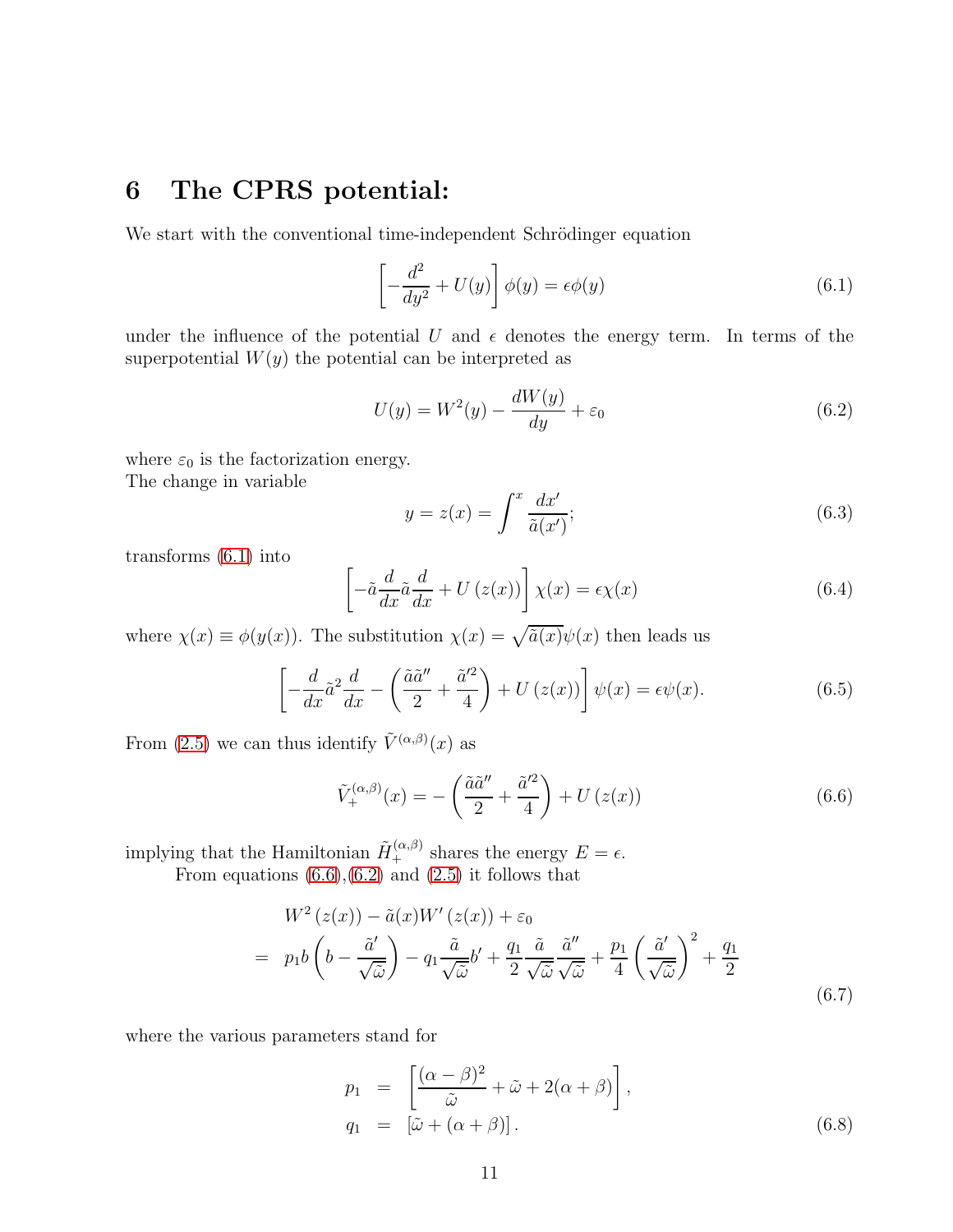## 6 The CPRS potential:

We start with the conventional time-independent Schrödinger equation

<span id="page-10-0"></span>
$$
\left[-\frac{d^2}{dy^2} + U(y)\right]\phi(y) = \epsilon\phi(y)
$$
\n(6.1)

under the influence of the potential U and  $\epsilon$  denotes the energy term. In terms of the superpotential  $W(y)$  the potential can be interpreted as

<span id="page-10-2"></span>
$$
U(y) = W2(y) - \frac{dW(y)}{dy} + \varepsilon_0
$$
\n(6.2)

where  $\varepsilon_0$  is the factorization energy. The change in variable

<span id="page-10-3"></span>
$$
y = z(x) = \int^x \frac{dx'}{\tilde{a}(x')};
$$
\n(6.3)

transforms [\(6.1\)](#page-10-0) into

$$
\left[-\tilde{a}\frac{d}{dx}\tilde{a}\frac{d}{dx} + U\left(z(x)\right)\right]\chi(x) = \epsilon\chi(x) \tag{6.4}
$$

where  $\chi(x) \equiv \phi(y(x))$ . The substitution  $\chi(x) = \sqrt{\tilde{a}(x)}\psi(x)$  then leads us

$$
\left[ -\frac{d}{dx} \tilde{a}^2 \frac{d}{dx} - \left( \frac{\tilde{a}\tilde{a}''}{2} + \frac{\tilde{a}'^2}{4} \right) + U \left( z(x) \right) \right] \psi(x) = \epsilon \psi(x). \tag{6.5}
$$

From [\(2.5\)](#page-3-4) we can thus identify  $\tilde{V}^{(\alpha,\beta)}(x)$  as

<span id="page-10-1"></span>
$$
\tilde{V}_{+}^{(\alpha,\beta)}(x) = -\left(\frac{\tilde{a}\tilde{a}''}{2} + \frac{\tilde{a}'^{2}}{4}\right) + U\left(z(x)\right)
$$
\n(6.6)

implying that the Hamiltonian  $\tilde{H}_{+}^{(\alpha,\beta)}$  shares the energy  $E = \epsilon$ .

From equations  $(6.6),(6.2)$  $(6.6),(6.2)$  and  $(2.5)$  it follows that

<span id="page-10-4"></span>
$$
W^{2}(z(x)) - \tilde{a}(x)W'(z(x)) + \varepsilon_{0}
$$
  
=  $p_{1}b\left(b - \frac{\tilde{a}'}{\sqrt{\tilde{\omega}}}\right) - q_{1}\frac{\tilde{a}}{\sqrt{\tilde{\omega}}}b' + \frac{q_{1}}{2}\frac{\tilde{a}}{\sqrt{\tilde{\omega}}}\frac{\tilde{a}''}{\sqrt{\tilde{\omega}}} + \frac{p_{1}}{4}\left(\frac{\tilde{a}'}{\sqrt{\tilde{\omega}}}\right)^{2} + \frac{q_{1}}{2}$  (6.7)

where the various parameters stand for

<span id="page-10-5"></span>
$$
p_1 = \left[ \frac{(\alpha - \beta)^2}{\tilde{\omega}} + \tilde{\omega} + 2(\alpha + \beta) \right],
$$
  
\n
$$
q_1 = [\tilde{\omega} + (\alpha + \beta)].
$$
\n(6.8)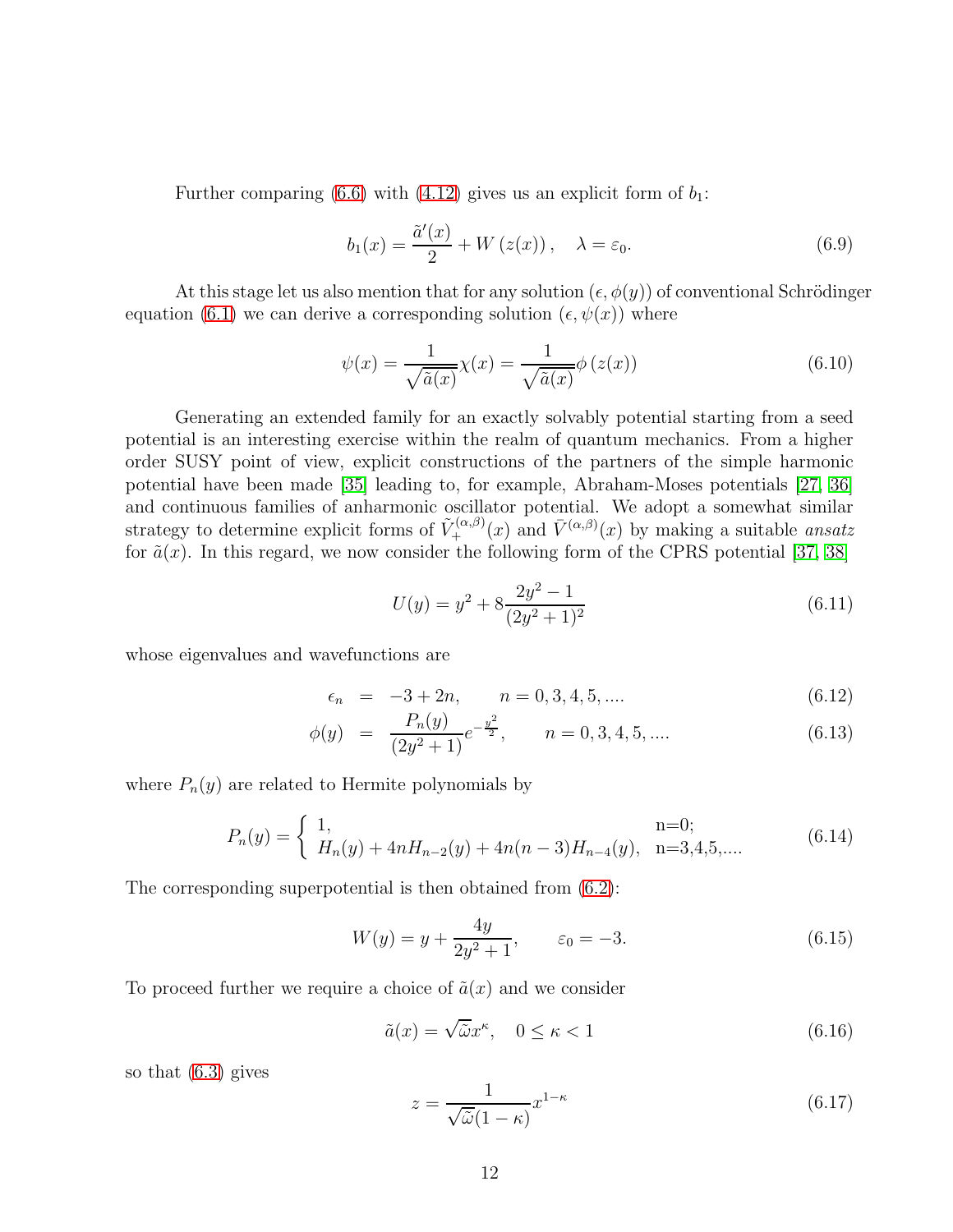Further comparing [\(6.6\)](#page-10-1) with [\(4.12\)](#page-6-4) gives us an explicit form of  $b_1$ :

<span id="page-11-0"></span>
$$
b_1(x) = \frac{\tilde{a}'(x)}{2} + W(z(x)), \quad \lambda = \varepsilon_0.
$$
 (6.9)

At this stage let us also mention that for any solution  $(\epsilon, \phi(y))$  of conventional Schrödinger equation [\(6.1\)](#page-10-0) we can derive a corresponding solution  $(\epsilon, \psi(x))$  where

$$
\psi(x) = \frac{1}{\sqrt{\tilde{a}(x)}} \chi(x) = \frac{1}{\sqrt{\tilde{a}(x)}} \phi(z(x))
$$
\n(6.10)

Generating an extended family for an exactly solvably potential starting from a seed potential is an interesting exercise within the realm of quantum mechanics. From a higher order SUSY point of view, explicit constructions of the partners of the simple harmonic potential have been made [\[35\]](#page-15-10) leading to, for example, Abraham-Moses potentials [\[27,](#page-15-3) [36\]](#page-15-11) and continuous families of anharmonic oscillator potential. We adopt a somewhat similar strategy to determine explicit forms of  $\tilde{V}^{(\alpha,\beta)}_{+}(x)$  and  $\bar{V}^{(\alpha,\beta)}_{+}(x)$  by making a suitable *ansatz* for  $\tilde{a}(x)$ . In this regard, we now consider the following form of the CPRS potential [\[37,](#page-15-9) [38\]](#page-15-12)

$$
U(y) = y^2 + 8\frac{2y^2 - 1}{(2y^2 + 1)^2}
$$
\n(6.11)

whose eigenvalues and wavefunctions are

$$
\epsilon_n = -3 + 2n, \qquad n = 0, 3, 4, 5, \dots \tag{6.12}
$$

$$
\phi(y) = \frac{P_n(y)}{(2y^2 + 1)} e^{-\frac{y^2}{2}}, \qquad n = 0, 3, 4, 5, \dots
$$
\n(6.13)

where  $P_n(y)$  are related to Hermite polynomials by

$$
P_n(y) = \begin{cases} 1, & \text{ } \text{n=0;}\\ H_n(y) + 4nH_{n-2}(y) + 4n(n-3)H_{n-4}(y), & \text{ } \text{n=3,4,5,... \end{cases}
$$
 (6.14)

The corresponding superpotential is then obtained from [\(6.2\)](#page-10-2):

$$
W(y) = y + \frac{4y}{2y^2 + 1}, \qquad \varepsilon_0 = -3. \tag{6.15}
$$

To proceed further we require a choice of  $\tilde{a}(x)$  and we consider

$$
\tilde{a}(x) = \sqrt{\tilde{\omega}}x^{\kappa}, \quad 0 \le \kappa < 1 \tag{6.16}
$$

so that [\(6.3\)](#page-10-3) gives

$$
z = \frac{1}{\sqrt{\tilde{\omega}}(1-\kappa)} x^{1-\kappa}
$$
\n(6.17)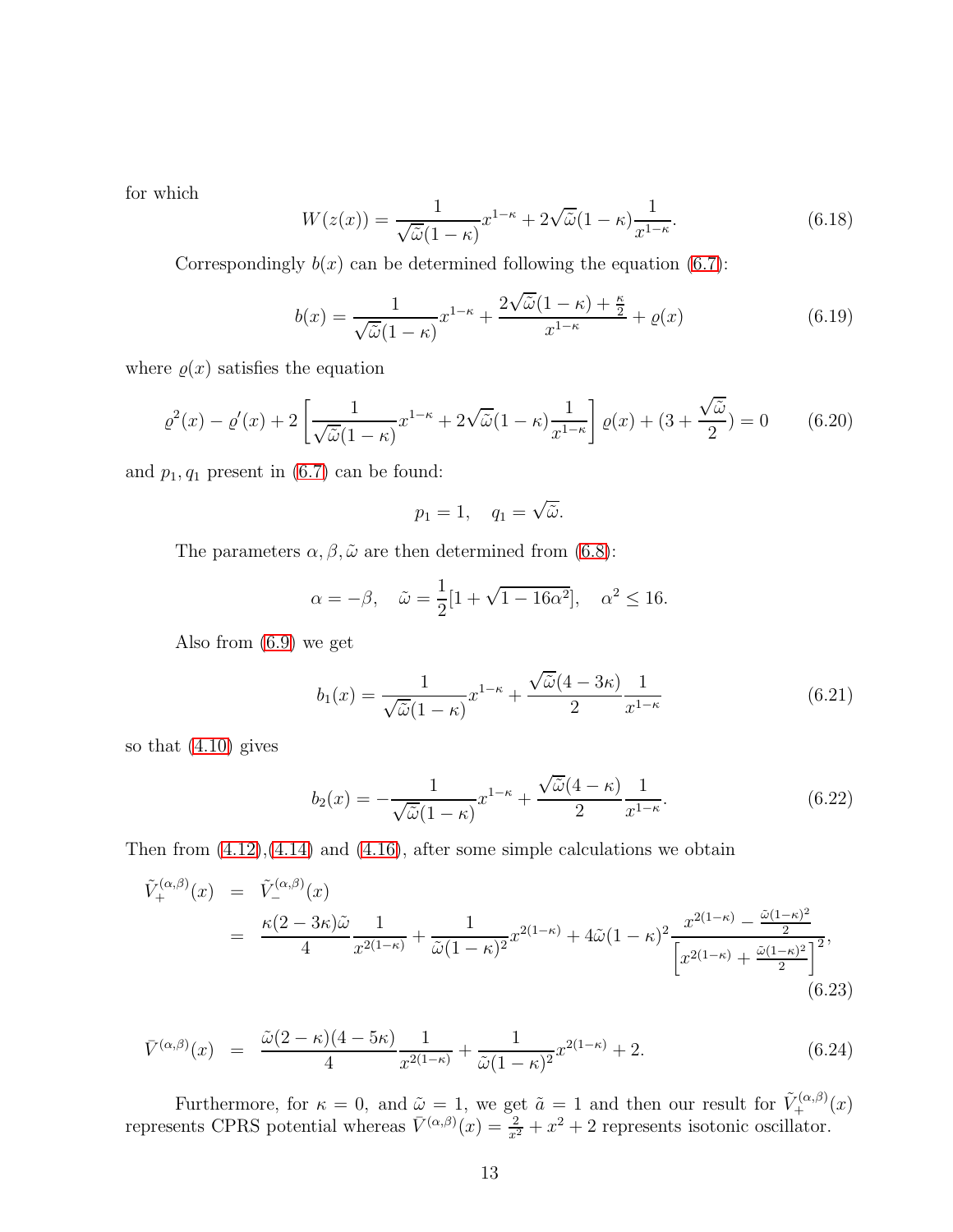for which

$$
W(z(x)) = \frac{1}{\sqrt{\tilde{\omega}}(1-\kappa)} x^{1-\kappa} + 2\sqrt{\tilde{\omega}}(1-\kappa) \frac{1}{x^{1-\kappa}}.
$$
\n(6.18)

Correspondingly  $b(x)$  can be determined following the equation [\(6.7\)](#page-10-4):

$$
b(x) = \frac{1}{\sqrt{\tilde{\omega}}(1-\kappa)}x^{1-\kappa} + \frac{2\sqrt{\tilde{\omega}}(1-\kappa) + \frac{\kappa}{2}}{x^{1-\kappa}} + \varrho(x)
$$
(6.19)

where  $\varrho(x)$  satisfies the equation

$$
\varrho^{2}(x) - \varrho'(x) + 2\left[\frac{1}{\sqrt{\tilde{\omega}}(1-\kappa)}x^{1-\kappa} + 2\sqrt{\tilde{\omega}}(1-\kappa)\frac{1}{x^{1-\kappa}}\right]\varrho(x) + (3+\frac{\sqrt{\tilde{\omega}}}{2}) = 0 \qquad (6.20)
$$

and  $p_1, q_1$  present in  $(6.7)$  can be found:

$$
p_1 = 1, \quad q_1 = \sqrt{\tilde{\omega}}.
$$

The parameters  $\alpha, \beta, \tilde{\omega}$  are then determined from [\(6.8\)](#page-10-5):

$$
\alpha = -\beta, \quad \tilde{\omega} = \frac{1}{2} [1 + \sqrt{1 - 16\alpha^2}], \quad \alpha^2 \le 16.
$$

Also from [\(6.9\)](#page-11-0) we get

$$
b_1(x) = \frac{1}{\sqrt{\tilde{\omega}}(1-\kappa)} x^{1-\kappa} + \frac{\sqrt{\tilde{\omega}}(4-3\kappa)}{2} \frac{1}{x^{1-\kappa}}
$$
(6.21)

so that [\(4.10\)](#page-6-5) gives

$$
b_2(x) = -\frac{1}{\sqrt{\tilde{\omega}}(1-\kappa)}x^{1-\kappa} + \frac{\sqrt{\tilde{\omega}}(4-\kappa)}{2}\frac{1}{x^{1-\kappa}}.\tag{6.22}
$$

Then from  $(4.12)$ ,  $(4.14)$  and  $(4.16)$ , after some simple calculations we obtain

$$
\tilde{V}_{+}^{(\alpha,\beta)}(x) = \tilde{V}_{-}^{(\alpha,\beta)}(x)
$$
\n
$$
= \frac{\kappa(2-3\kappa)\tilde{\omega}}{4} \frac{1}{x^{2(1-\kappa)}} + \frac{1}{\tilde{\omega}(1-\kappa)^{2}} x^{2(1-\kappa)} + 4\tilde{\omega}(1-\kappa)^{2} \frac{x^{2(1-\kappa)} - \frac{\tilde{\omega}(1-\kappa)^{2}}{2}}{\left[x^{2(1-\kappa)} + \frac{\tilde{\omega}(1-\kappa)^{2}}{2}\right]^{2}},
$$
\n(6.23)

$$
\bar{V}^{(\alpha,\beta)}(x) = \frac{\tilde{\omega}(2-\kappa)(4-5\kappa)}{4} \frac{1}{x^{2(1-\kappa)}} + \frac{1}{\tilde{\omega}(1-\kappa)^2} x^{2(1-\kappa)} + 2. \tag{6.24}
$$

Furthermore, for  $\kappa = 0$ , and  $\tilde{\omega} = 1$ , we get  $\tilde{a} = 1$  and then our result for  $\tilde{V}_+^{(\alpha,\beta)}(x)$ represents CPRS potential whereas  $\bar{V}^{(\alpha,\beta)}(x) = \frac{2}{x^2} + x^2 + 2$  represents isotonic oscillator.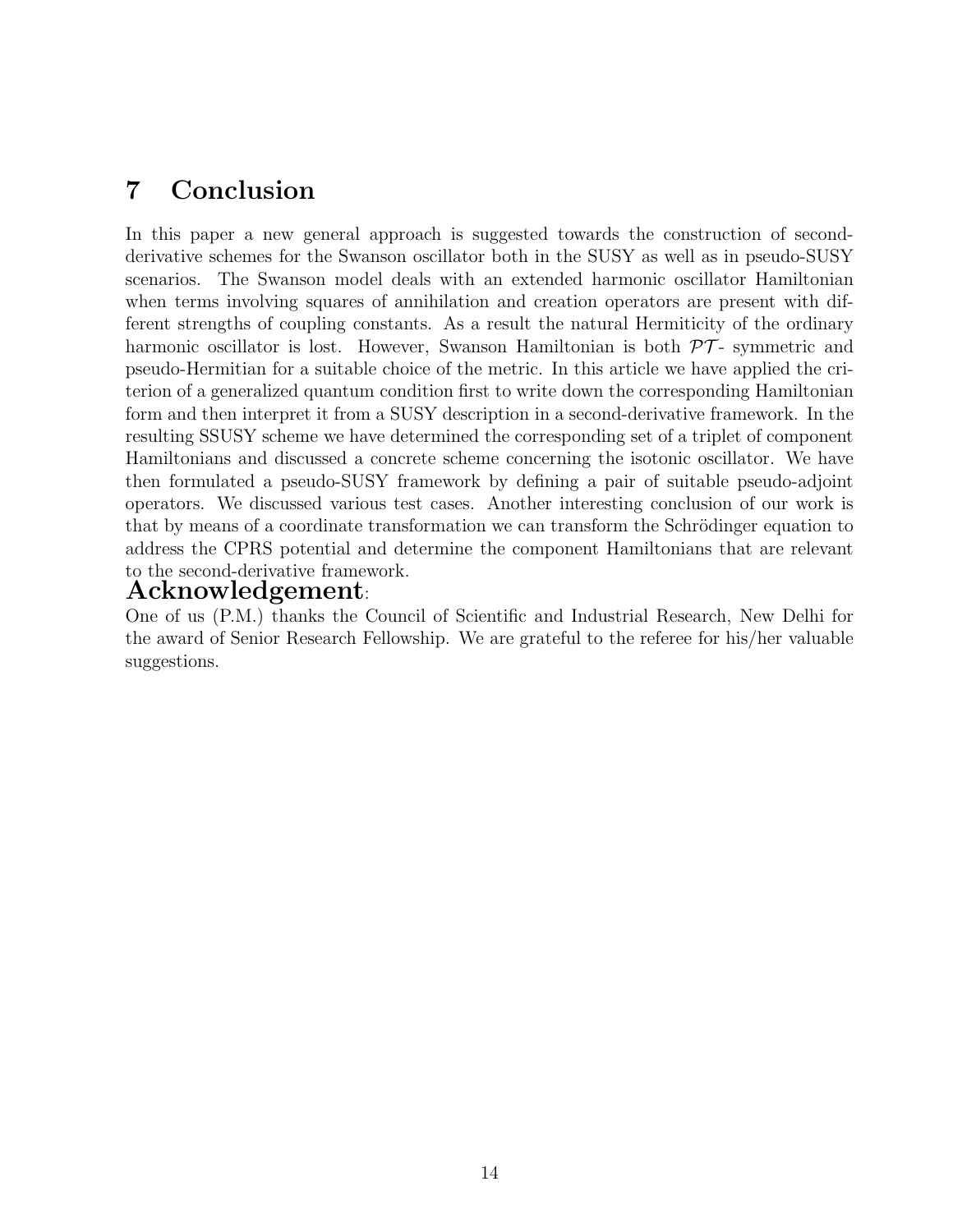## 7 Conclusion

In this paper a new general approach is suggested towards the construction of secondderivative schemes for the Swanson oscillator both in the SUSY as well as in pseudo-SUSY scenarios. The Swanson model deals with an extended harmonic oscillator Hamiltonian when terms involving squares of annihilation and creation operators are present with different strengths of coupling constants. As a result the natural Hermiticity of the ordinary harmonic oscillator is lost. However, Swanson Hamiltonian is both  $\mathcal{PT}$ - symmetric and pseudo-Hermitian for a suitable choice of the metric. In this article we have applied the criterion of a generalized quantum condition first to write down the corresponding Hamiltonian form and then interpret it from a SUSY description in a second-derivative framework. In the resulting SSUSY scheme we have determined the corresponding set of a triplet of component Hamiltonians and discussed a concrete scheme concerning the isotonic oscillator. We have then formulated a pseudo-SUSY framework by defining a pair of suitable pseudo-adjoint operators. We discussed various test cases. Another interesting conclusion of our work is that by means of a coordinate transformation we can transform the Schrödinger equation to address the CPRS potential and determine the component Hamiltonians that are relevant to the second-derivative framework.

#### Acknowledgement:

One of us (P.M.) thanks the Council of Scientific and Industrial Research, New Delhi for the award of Senior Research Fellowship. We are grateful to the referee for his/her valuable suggestions.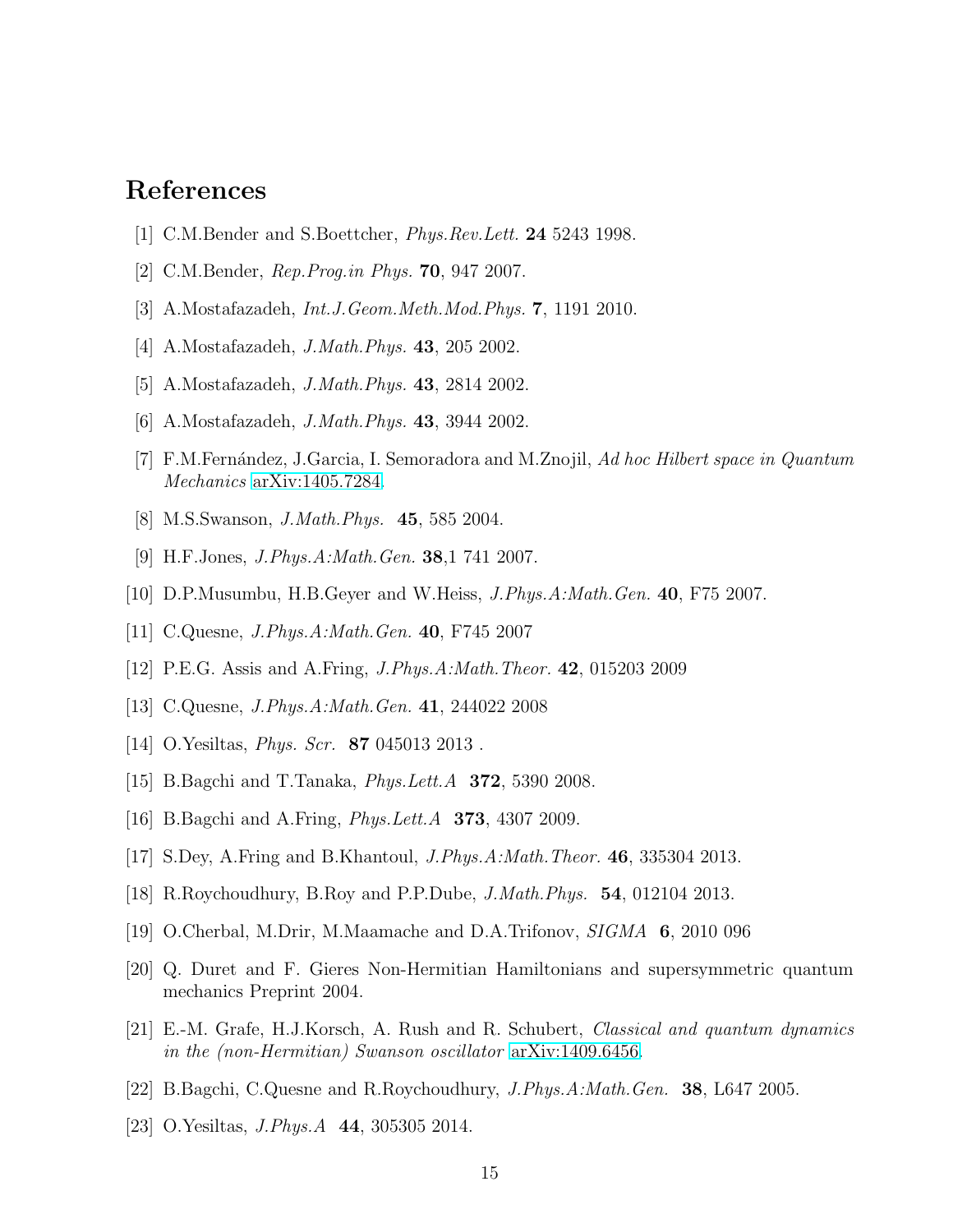### <span id="page-14-0"></span>References

- <span id="page-14-1"></span>[1] C.M.Bender and S.Boettcher, *Phys.Rev.Lett.* 24 5243 1998.
- <span id="page-14-2"></span>[2] C.M.Bender, *Rep.Prog.in Phys.* 70, 947 2007.
- <span id="page-14-3"></span>[3] A.Mostafazadeh, *Int.J.Geom.Meth.Mod.Phys.* 7, 1191 2010.
- <span id="page-14-4"></span>[4] A.Mostafazadeh, *J.Math.Phys.* 43, 205 2002.
- <span id="page-14-5"></span>[5] A.Mostafazadeh, *J.Math.Phys.* 43, 2814 2002.
- <span id="page-14-6"></span>[6] A.Mostafazadeh, *J.Math.Phys.* 43, 3944 2002.
- <span id="page-14-7"></span>[7] F.M.Fern´andez, J.Garcia, I. Semoradora and M.Znojil, *Ad hoc Hilbert space in Quantum Mechanics* [arXiv:1405.7284.](http://arxiv.org/abs/1405.7284)
- <span id="page-14-8"></span>[8] M.S.Swanson, *J.Math.Phys.* 45, 585 2004.
- <span id="page-14-9"></span>[9] H.F.Jones, *J.Phys.A:Math.Gen.* 38,1 741 2007.
- <span id="page-14-10"></span>[10] D.P.Musumbu, H.B.Geyer and W.Heiss, *J.Phys.A:Math.Gen.* 40, F75 2007.
- <span id="page-14-11"></span>[11] C.Quesne, *J.Phys.A:Math.Gen.* 40, F745 2007
- <span id="page-14-12"></span>[12] P.E.G. Assis and A.Fring, *J.Phys.A:Math.Theor.* 42, 015203 2009
- <span id="page-14-13"></span>[13] C.Quesne, *J.Phys.A:Math.Gen.* 41, 244022 2008
- <span id="page-14-14"></span>[14] O.Yesiltas, *Phys. Scr.* 87 045013 2013 .
- <span id="page-14-15"></span>[15] B.Bagchi and T.Tanaka, *Phys.Lett.A* 372, 5390 2008.
- <span id="page-14-16"></span>[16] B.Bagchi and A.Fring, *Phys.Lett.A* 373, 4307 2009.
- <span id="page-14-17"></span>[17] S.Dey, A.Fring and B.Khantoul, *J.Phys.A:Math.Theor.* 46, 335304 2013.
- <span id="page-14-18"></span>[18] R.Roychoudhury, B.Roy and P.P.Dube, *J.Math.Phys.* 54, 012104 2013.
- <span id="page-14-22"></span>[19] O.Cherbal, M.Drir, M.Maamache and D.A.Trifonov, *SIGMA* 6, 2010 096
- <span id="page-14-19"></span>[20] Q. Duret and F. Gieres Non-Hermitian Hamiltonians and supersymmetric quantum mechanics Preprint 2004.
- [21] E.-M. Grafe, H.J.Korsch, A. Rush and R. Schubert, *Classical and quantum dynamics in the (non-Hermitian) Swanson oscillator* [arXiv:1409.6456.](http://arxiv.org/abs/1409.6456)
- <span id="page-14-21"></span><span id="page-14-20"></span>[22] B.Bagchi, C.Quesne and R.Roychoudhury, *J.Phys.A:Math.Gen.* 38, L647 2005.
- [23] O.Yesiltas, *J.Phys.A* 44, 305305 2014.